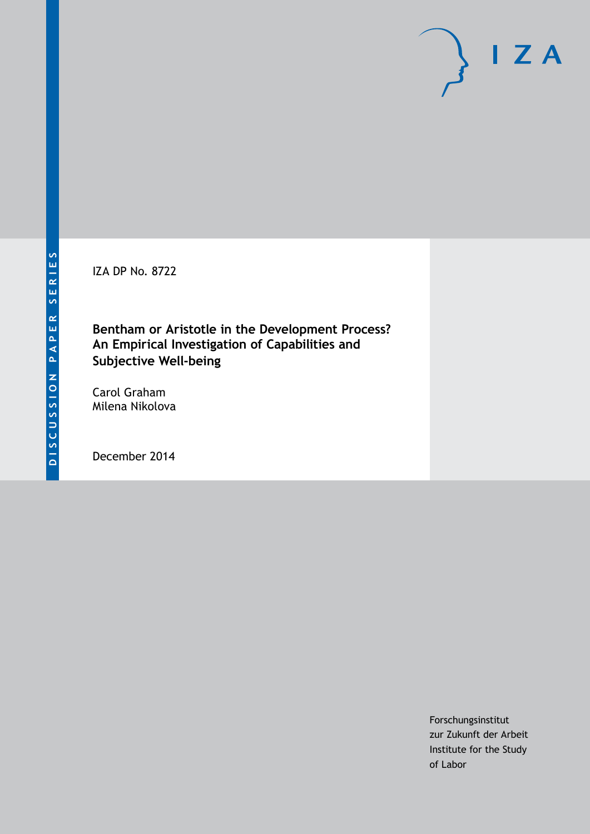IZA DP No. 8722

**Bentham or Aristotle in the Development Process? An Empirical Investigation of Capabilities and Subjective Well-being**

Carol Graham Milena Nikolova

December 2014

Forschungsinstitut zur Zukunft der Arbeit Institute for the Study of Labor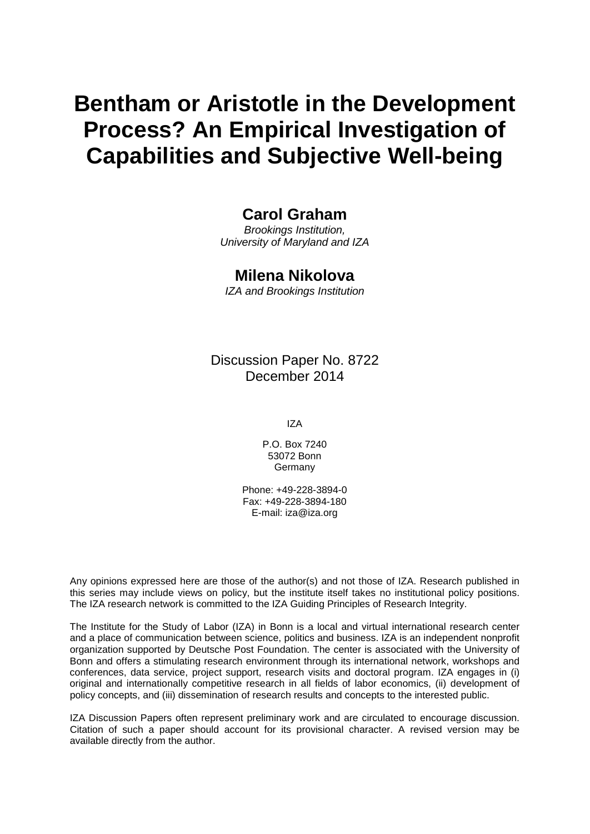# **Bentham or Aristotle in the Development Process? An Empirical Investigation of Capabilities and Subjective Well-being**

### **Carol Graham**

*Brookings Institution, University of Maryland and IZA*

#### **Milena Nikolova**

*IZA and Brookings Institution*

Discussion Paper No. 8722 December 2014

IZA

P.O. Box 7240 53072 Bonn Germany

Phone: +49-228-3894-0 Fax: +49-228-3894-180 E-mail: [iza@iza.org](mailto:iza@iza.org)

Any opinions expressed here are those of the author(s) and not those of IZA. Research published in this series may include views on policy, but the institute itself takes no institutional policy positions. The IZA research network is committed to the IZA Guiding Principles of Research Integrity.

The Institute for the Study of Labor (IZA) in Bonn is a local and virtual international research center and a place of communication between science, politics and business. IZA is an independent nonprofit organization supported by Deutsche Post Foundation. The center is associated with the University of Bonn and offers a stimulating research environment through its international network, workshops and conferences, data service, project support, research visits and doctoral program. IZA engages in (i) original and internationally competitive research in all fields of labor economics, (ii) development of policy concepts, and (iii) dissemination of research results and concepts to the interested public.

<span id="page-1-0"></span>IZA Discussion Papers often represent preliminary work and are circulated to encourage discussion. Citation of such a paper should account for its provisional character. A revised version may be available directly from the author.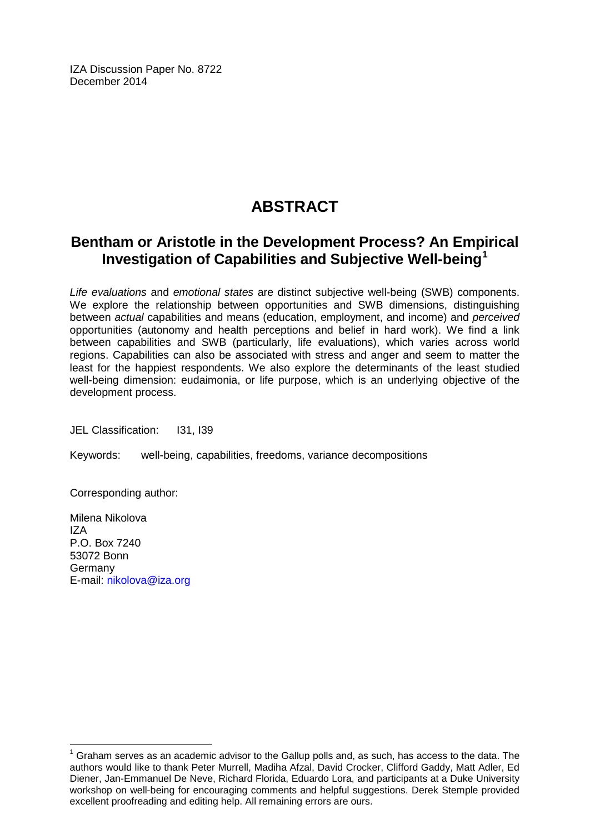IZA Discussion Paper No. 8722 December 2014

# **ABSTRACT**

# **Bentham or Aristotle in the Development Process? An Empirical Investigation of Capabilities and Subjective Well-being[1](#page-1-0)**

*Life evaluations* and *emotional states* are distinct subjective well-being (SWB) components. We explore the relationship between opportunities and SWB dimensions, distinguishing between *actual* capabilities and means (education, employment, and income) and *perceived* opportunities (autonomy and health perceptions and belief in hard work). We find a link between capabilities and SWB (particularly, life evaluations), which varies across world regions. Capabilities can also be associated with stress and anger and seem to matter the least for the happiest respondents. We also explore the determinants of the least studied well-being dimension: eudaimonia, or life purpose, which is an underlying objective of the development process.

JEL Classification: I31, I39

Keywords: well-being, capabilities, freedoms, variance decompositions

Corresponding author:

Milena Nikolova IZA P.O. Box 7240 53072 Bonn Germany E-mail: [nikolova@iza.org](mailto:nikolova@iza.org)

 $^1$  Graham serves as an academic advisor to the Gallup polls and, as such, has access to the data. The authors would like to thank Peter Murrell, Madiha Afzal, David Crocker, Clifford Gaddy, Matt Adler, Ed Diener, Jan-Emmanuel De Neve, Richard Florida, Eduardo Lora, and participants at a Duke University workshop on well-being for encouraging comments and helpful suggestions. Derek Stemple provided excellent proofreading and editing help. All remaining errors are ours.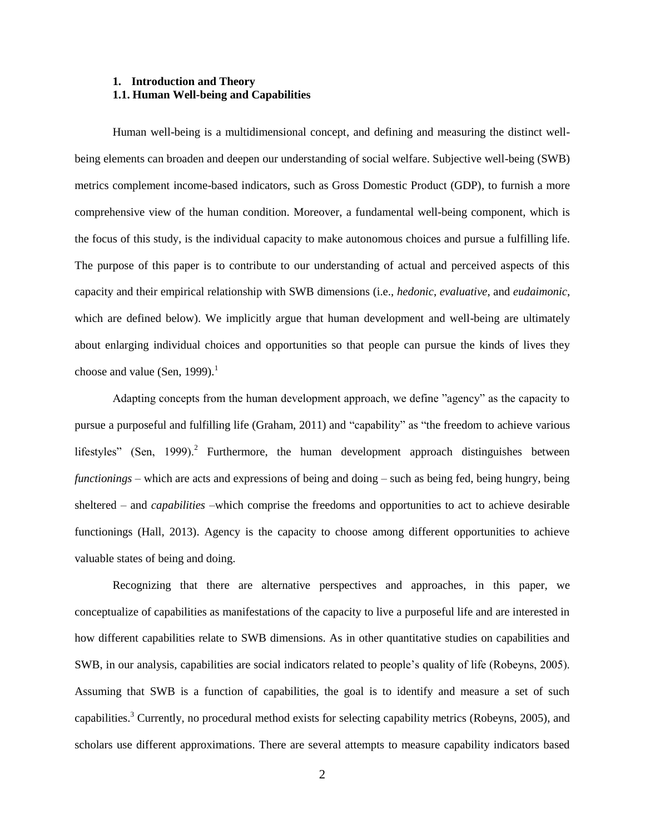#### **1. Introduction and Theory 1.1. Human Well-being and Capabilities**

Human well-being is a multidimensional concept, and defining and measuring the distinct wellbeing elements can broaden and deepen our understanding of social welfare. Subjective well-being (SWB) metrics complement income-based indicators, such as Gross Domestic Product (GDP), to furnish a more comprehensive view of the human condition. Moreover, a fundamental well-being component, which is the focus of this study, is the individual capacity to make autonomous choices and pursue a fulfilling life. The purpose of this paper is to contribute to our understanding of actual and perceived aspects of this capacity and their empirical relationship with SWB dimensions (i.e., *hedonic*, *evaluative*, and *eudaimonic*, which are defined below). We implicitly argue that human development and well-being are ultimately about enlarging individual choices and opportunities so that people can pursue the kinds of lives they choose and value (Sen, 1999). $<sup>1</sup>$ </sup>

Adapting concepts from the human development approach, we define "agency" as the capacity to pursue a purposeful and fulfilling life (Graham, 2011) and "capability" as "the freedom to achieve various lifestyles" (Sen, 1999).<sup>2</sup> Furthermore, the human development approach distinguishes between *functionings* – which are acts and expressions of being and doing – such as being fed, being hungry, being sheltered – and *capabilities –*which comprise the freedoms and opportunities to act to achieve desirable functionings (Hall, 2013). Agency is the capacity to choose among different opportunities to achieve valuable states of being and doing.

Recognizing that there are alternative perspectives and approaches, in this paper, we conceptualize of capabilities as manifestations of the capacity to live a purposeful life and are interested in how different capabilities relate to SWB dimensions. As in other quantitative studies on capabilities and SWB, in our analysis, capabilities are social indicators related to people"s quality of life (Robeyns, 2005). Assuming that SWB is a function of capabilities, the goal is to identify and measure a set of such capabilities.<sup>3</sup> Currently, no procedural method exists for selecting capability metrics (Robeyns, 2005), and scholars use different approximations. There are several attempts to measure capability indicators based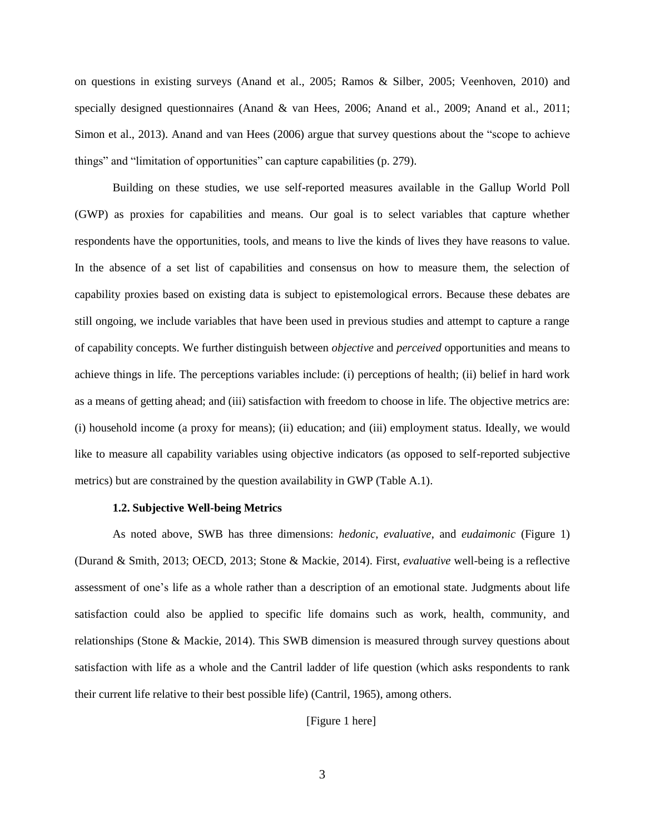on questions in existing surveys (Anand et al., 2005; Ramos & Silber, 2005; Veenhoven, 2010) and specially designed questionnaires (Anand & van Hees, 2006; Anand et al., 2009; Anand et al., 2011; Simon et al., 2013). Anand and van Hees (2006) argue that survey questions about the "scope to achieve things" and "limitation of opportunities" can capture capabilities (p. 279).

Building on these studies, we use self-reported measures available in the Gallup World Poll (GWP) as proxies for capabilities and means. Our goal is to select variables that capture whether respondents have the opportunities, tools, and means to live the kinds of lives they have reasons to value. In the absence of a set list of capabilities and consensus on how to measure them, the selection of capability proxies based on existing data is subject to epistemological errors. Because these debates are still ongoing, we include variables that have been used in previous studies and attempt to capture a range of capability concepts. We further distinguish between *objective* and *perceived* opportunities and means to achieve things in life. The perceptions variables include: (i) perceptions of health; (ii) belief in hard work as a means of getting ahead; and (iii) satisfaction with freedom to choose in life. The objective metrics are: (i) household income (a proxy for means); (ii) education; and (iii) employment status. Ideally, we would like to measure all capability variables using objective indicators (as opposed to self-reported subjective metrics) but are constrained by the question availability in GWP (Table A.1).

#### **1.2. Subjective Well-being Metrics**

As noted above, SWB has three dimensions: *hedonic*, *evaluative*, and *eudaimonic* (Figure 1) (Durand & Smith, 2013; OECD, 2013; Stone & Mackie, 2014). First, *evaluative* well-being is a reflective assessment of one"s life as a whole rather than a description of an emotional state. Judgments about life satisfaction could also be applied to specific life domains such as work, health, community, and relationships (Stone & Mackie, 2014). This SWB dimension is measured through survey questions about satisfaction with life as a whole and the Cantril ladder of life question (which asks respondents to rank their current life relative to their best possible life) (Cantril, 1965), among others.

[Figure 1 here]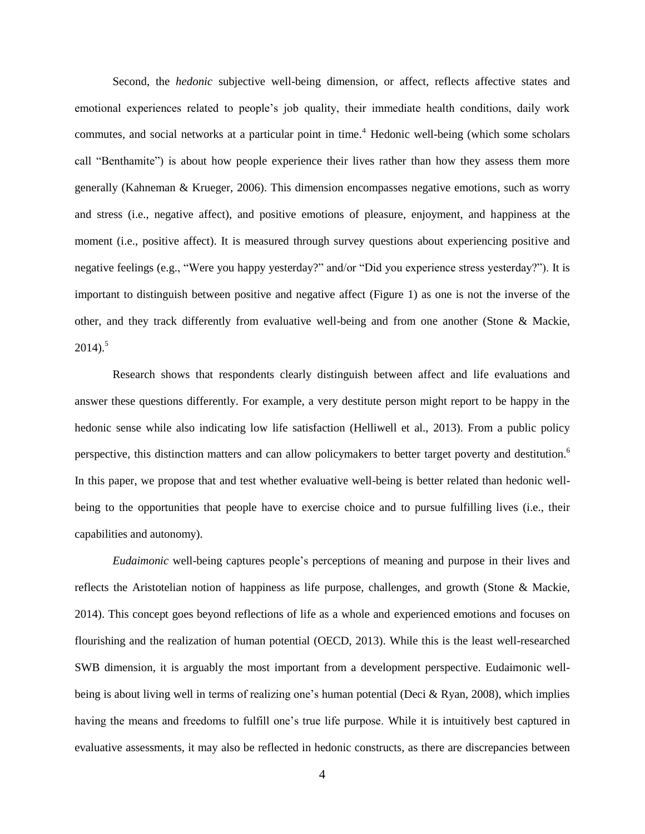Second, the *hedonic* subjective well-being dimension, or affect, reflects affective states and emotional experiences related to people"s job quality, their immediate health conditions, daily work commutes, and social networks at a particular point in time.<sup>4</sup> Hedonic well-being (which some scholars call "Benthamite") is about how people experience their lives rather than how they assess them more generally (Kahneman & Krueger, 2006). This dimension encompasses negative emotions, such as worry and stress (i.e., negative affect), and positive emotions of pleasure, enjoyment, and happiness at the moment (i.e., positive affect). It is measured through survey questions about experiencing positive and negative feelings (e.g., "Were you happy yesterday?" and/or "Did you experience stress yesterday?"). It is important to distinguish between positive and negative affect (Figure 1) as one is not the inverse of the other, and they track differently from evaluative well-being and from one another (Stone & Mackie,  $2014$ ).<sup>5</sup>

Research shows that respondents clearly distinguish between affect and life evaluations and answer these questions differently. For example, a very destitute person might report to be happy in the hedonic sense while also indicating low life satisfaction (Helliwell et al., 2013). From a public policy perspective, this distinction matters and can allow policymakers to better target poverty and destitution.<sup>6</sup> In this paper, we propose that and test whether evaluative well-being is better related than hedonic wellbeing to the opportunities that people have to exercise choice and to pursue fulfilling lives (i.e., their capabilities and autonomy).

*Eudaimonic* well-being captures people"s perceptions of meaning and purpose in their lives and reflects the Aristotelian notion of happiness as life purpose, challenges, and growth (Stone & Mackie, 2014). This concept goes beyond reflections of life as a whole and experienced emotions and focuses on flourishing and the realization of human potential (OECD, 2013). While this is the least well-researched SWB dimension, it is arguably the most important from a development perspective. Eudaimonic wellbeing is about living well in terms of realizing one's human potential (Deci & Ryan, 2008), which implies having the means and freedoms to fulfill one's true life purpose. While it is intuitively best captured in evaluative assessments, it may also be reflected in hedonic constructs, as there are discrepancies between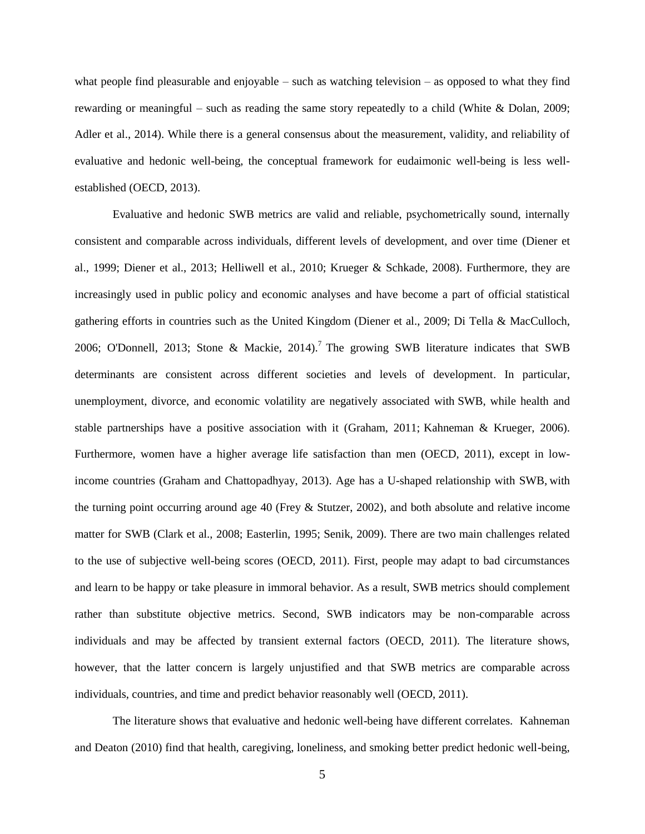what people find pleasurable and enjoyable – such as watching television – as opposed to what they find rewarding or meaningful – such as reading the same story repeatedly to a child (White & Dolan, 2009; Adler et al., 2014). While there is a general consensus about the measurement, validity, and reliability of evaluative and hedonic well-being, the conceptual framework for eudaimonic well-being is less wellestablished (OECD, 2013).

Evaluative and hedonic SWB metrics are valid and reliable, psychometrically sound, internally consistent and comparable across individuals, different levels of development, and over time (Diener et al., 1999; Diener et al., 2013; Helliwell et al., 2010; Krueger & Schkade, 2008). Furthermore, they are increasingly used in public policy and economic analyses and have become a part of official statistical gathering efforts in countries such as the United Kingdom (Diener et al., 2009; Di Tella & MacCulloch, 2006; O'Donnell, 2013; Stone & Mackie, 2014).<sup>7</sup> The growing SWB literature indicates that SWB determinants are consistent across different societies and levels of development. In particular, unemployment, divorce, and economic volatility are negatively associated with SWB, while health and stable partnerships have a positive association with it (Graham, 2011; Kahneman & Krueger, 2006). Furthermore, women have a higher average life satisfaction than men (OECD, 2011), except in lowincome countries (Graham and Chattopadhyay, 2013). Age has a U-shaped relationship with SWB, with the turning point occurring around age 40 (Frey & Stutzer, 2002), and both absolute and relative income matter for SWB (Clark et al., 2008; Easterlin, 1995; Senik, 2009). There are two main challenges related to the use of subjective well-being scores (OECD, 2011). First, people may adapt to bad circumstances and learn to be happy or take pleasure in immoral behavior. As a result, SWB metrics should complement rather than substitute objective metrics. Second, SWB indicators may be non-comparable across individuals and may be affected by transient external factors (OECD, 2011). The literature shows, however, that the latter concern is largely unjustified and that SWB metrics are comparable across individuals, countries, and time and predict behavior reasonably well (OECD, 2011).

The literature shows that evaluative and hedonic well-being have different correlates. Kahneman and Deaton (2010) find that health, caregiving, loneliness, and smoking better predict hedonic well-being,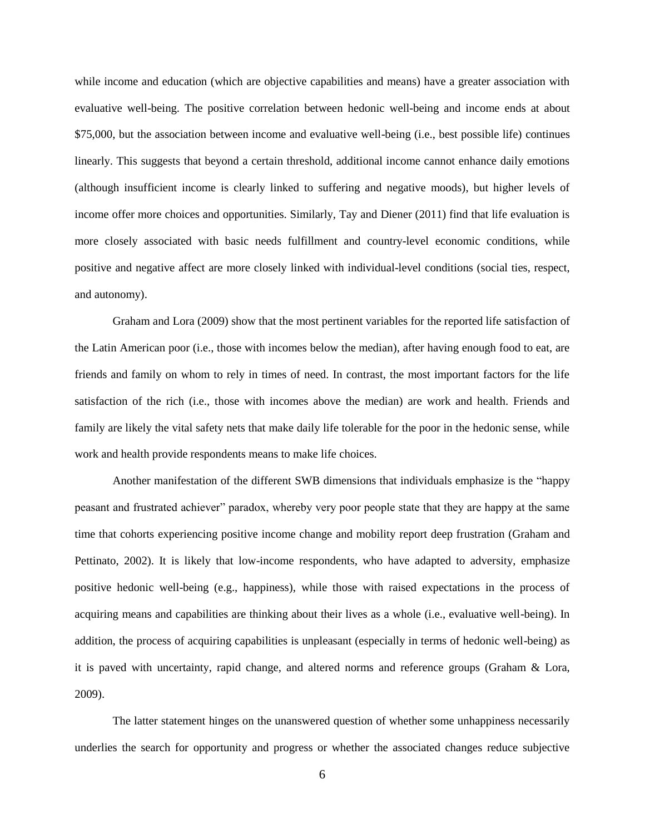while income and education (which are objective capabilities and means) have a greater association with evaluative well-being. The positive correlation between hedonic well-being and income ends at about \$75,000, but the association between income and evaluative well-being (i.e., best possible life) continues linearly. This suggests that beyond a certain threshold, additional income cannot enhance daily emotions (although insufficient income is clearly linked to suffering and negative moods), but higher levels of income offer more choices and opportunities. Similarly, Tay and Diener (2011) find that life evaluation is more closely associated with basic needs fulfillment and country-level economic conditions, while positive and negative affect are more closely linked with individual-level conditions (social ties, respect, and autonomy).

Graham and Lora (2009) show that the most pertinent variables for the reported life satisfaction of the Latin American poor (i.e., those with incomes below the median), after having enough food to eat, are friends and family on whom to rely in times of need. In contrast, the most important factors for the life satisfaction of the rich (i.e., those with incomes above the median) are work and health. Friends and family are likely the vital safety nets that make daily life tolerable for the poor in the hedonic sense, while work and health provide respondents means to make life choices.

Another manifestation of the different SWB dimensions that individuals emphasize is the "happy peasant and frustrated achiever" paradox, whereby very poor people state that they are happy at the same time that cohorts experiencing positive income change and mobility report deep frustration (Graham and Pettinato, 2002). It is likely that low-income respondents, who have adapted to adversity, emphasize positive hedonic well-being (e.g., happiness), while those with raised expectations in the process of acquiring means and capabilities are thinking about their lives as a whole (i.e., evaluative well-being). In addition, the process of acquiring capabilities is unpleasant (especially in terms of hedonic well-being) as it is paved with uncertainty, rapid change, and altered norms and reference groups (Graham & Lora, 2009).

The latter statement hinges on the unanswered question of whether some unhappiness necessarily underlies the search for opportunity and progress or whether the associated changes reduce subjective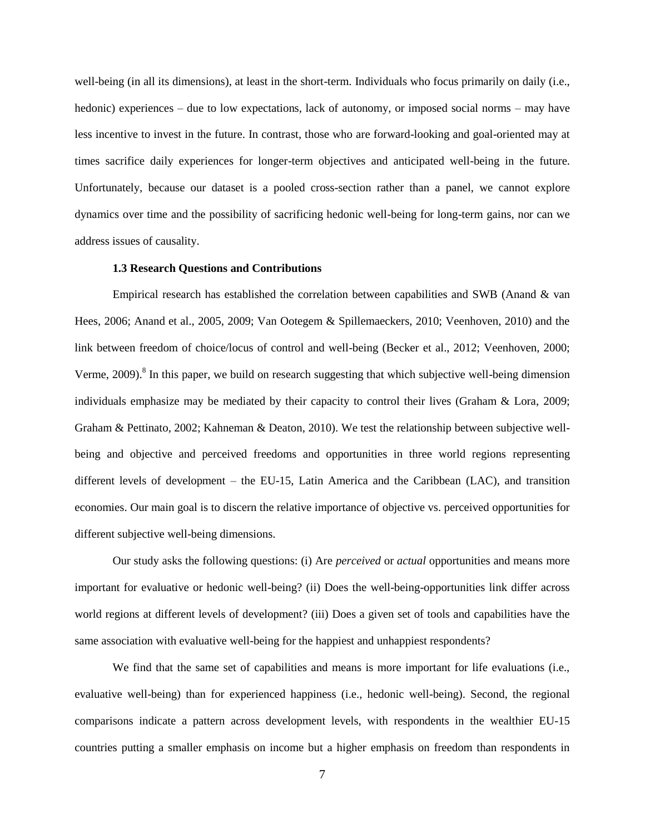well-being (in all its dimensions), at least in the short-term. Individuals who focus primarily on daily (i.e., hedonic) experiences – due to low expectations, lack of autonomy, or imposed social norms – may have less incentive to invest in the future. In contrast, those who are forward-looking and goal-oriented may at times sacrifice daily experiences for longer-term objectives and anticipated well-being in the future. Unfortunately, because our dataset is a pooled cross-section rather than a panel, we cannot explore dynamics over time and the possibility of sacrificing hedonic well-being for long-term gains, nor can we address issues of causality.

#### **1.3 Research Questions and Contributions**

Empirical research has established the correlation between capabilities and SWB (Anand & van Hees, 2006; Anand et al., 2005, 2009; Van Ootegem & Spillemaeckers, 2010; Veenhoven, 2010) and the link between freedom of choice/locus of control and well-being (Becker et al., 2012; Veenhoven, 2000; Verme,  $2009$ ).<sup>8</sup> In this paper, we build on research suggesting that which subjective well-being dimension individuals emphasize may be mediated by their capacity to control their lives (Graham & Lora, 2009; Graham & Pettinato, 2002; Kahneman & Deaton, 2010). We test the relationship between subjective wellbeing and objective and perceived freedoms and opportunities in three world regions representing different levels of development – the EU-15, Latin America and the Caribbean (LAC), and transition economies. Our main goal is to discern the relative importance of objective vs. perceived opportunities for different subjective well-being dimensions.

Our study asks the following questions: (i) Are *perceived* or *actual* opportunities and means more important for evaluative or hedonic well-being? (ii) Does the well-being-opportunities link differ across world regions at different levels of development? (iii) Does a given set of tools and capabilities have the same association with evaluative well-being for the happiest and unhappiest respondents?

We find that the same set of capabilities and means is more important for life evaluations (i.e., evaluative well-being) than for experienced happiness (i.e., hedonic well-being). Second, the regional comparisons indicate a pattern across development levels, with respondents in the wealthier EU-15 countries putting a smaller emphasis on income but a higher emphasis on freedom than respondents in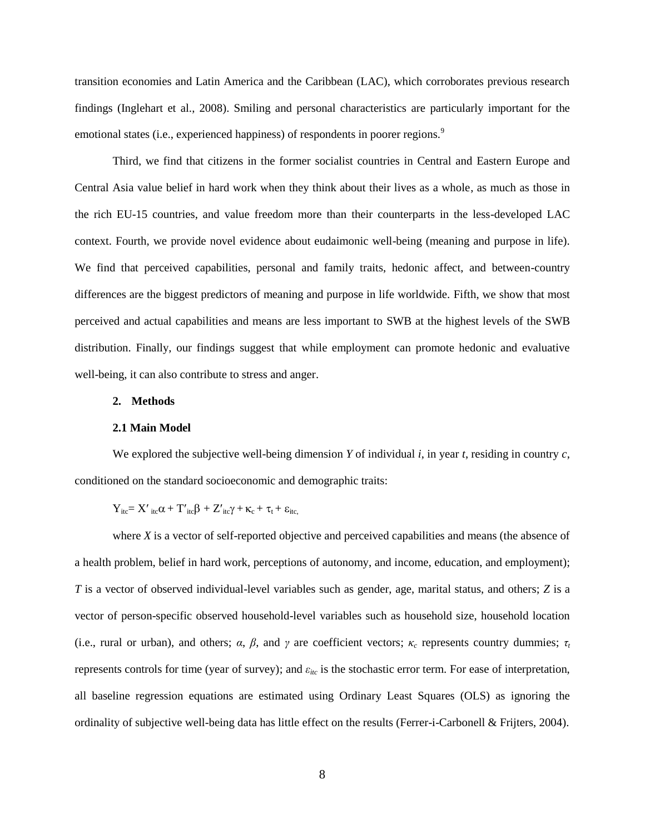transition economies and Latin America and the Caribbean (LAC), which corroborates previous research findings (Inglehart et al., 2008). Smiling and personal characteristics are particularly important for the emotional states (i.e., experienced happiness) of respondents in poorer regions.<sup>9</sup>

Third, we find that citizens in the former socialist countries in Central and Eastern Europe and Central Asia value belief in hard work when they think about their lives as a whole, as much as those in the rich EU-15 countries, and value freedom more than their counterparts in the less-developed LAC context. Fourth, we provide novel evidence about eudaimonic well-being (meaning and purpose in life). We find that perceived capabilities, personal and family traits, hedonic affect, and between-country differences are the biggest predictors of meaning and purpose in life worldwide. Fifth, we show that most perceived and actual capabilities and means are less important to SWB at the highest levels of the SWB distribution. Finally, our findings suggest that while employment can promote hedonic and evaluative well-being, it can also contribute to stress and anger.

#### **2. Methods**

#### **2.1 Main Model**

We explored the subjective well-being dimension *Y* of individual *i*, in year *t*, residing in country *c*, conditioned on the standard socioeconomic and demographic traits:

$$
Y_{itc}\!\!=X'\,{}_{itc}\alpha+T'\,{}_{itc}\beta+Z'\,{}_{itc}\gamma+\kappa_c+\tau_t+\epsilon_{itc,}
$$

where *X* is a vector of self-reported objective and perceived capabilities and means (the absence of a health problem, belief in hard work, perceptions of autonomy, and income, education, and employment); *T* is a vector of observed individual-level variables such as gender, age, marital status, and others; *Z* is a vector of person-specific observed household-level variables such as household size, household location (i.e., rural or urban), and others;  $\alpha$ ,  $\beta$ , and  $\gamma$  are coefficient vectors;  $\kappa_c$  represents country dummies;  $\tau_t$ represents controls for time (year of survey); and  $\varepsilon_{ic}$  is the stochastic error term. For ease of interpretation, all baseline regression equations are estimated using Ordinary Least Squares (OLS) as ignoring the ordinality of subjective well-being data has little effect on the results (Ferrer-i-Carbonell & Frijters, 2004).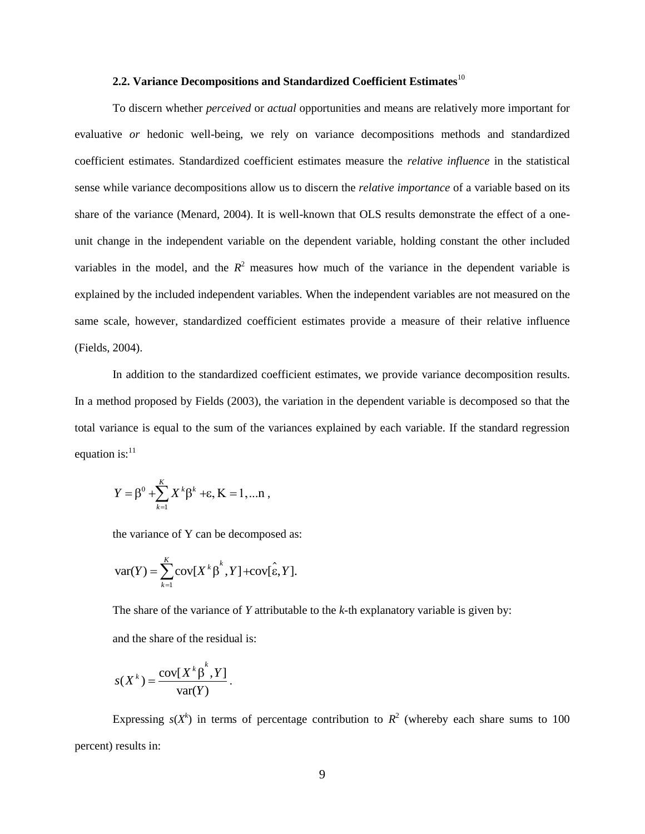#### **2.2. Variance Decompositions and Standardized Coefficient Estimates**<sup>10</sup>

To discern whether *perceived* or *actual* opportunities and means are relatively more important for evaluative *or* hedonic well-being, we rely on variance decompositions methods and standardized coefficient estimates. Standardized coefficient estimates measure the *relative influence* in the statistical sense while variance decompositions allow us to discern the *relative importance* of a variable based on its share of the variance (Menard, 2004). It is well-known that OLS results demonstrate the effect of a oneunit change in the independent variable on the dependent variable, holding constant the other included variables in the model, and the  $R^2$  measures how much of the variance in the dependent variable is explained by the included independent variables. When the independent variables are not measured on the same scale, however, standardized coefficient estimates provide a measure of their relative influence (Fields, 2004).

In addition to the standardized coefficient estimates, we provide variance decomposition results. In a method proposed by Fields (2003), the variation in the dependent variable is decomposed so that the total variance is equal to the sum of the variances explained by each variable. If the standard regression equation is: $11$ 

$$
Y = \beta^{0} + \sum_{k=1}^{K} X^{k} \beta^{k} + \varepsilon, K = 1,...n,
$$

the variance of Y can be decomposed as:

$$
var(Y) = \sum_{k=1}^{K} cov[X^{k} \beta^{k}, Y] + cov[\hat{\varepsilon}, Y].
$$

The share of the variance of *Y* attributable to the *k-*th explanatory variable is given by:

and the share of the residual is:

$$
s(X^{k}) = \frac{\text{cov}[X^{k} \beta^{k}, Y]}{\text{var}(Y)}.
$$

Expressing  $s(X^k)$  in terms of percentage contribution to  $R^2$  (whereby each share sums to 100 percent) results in: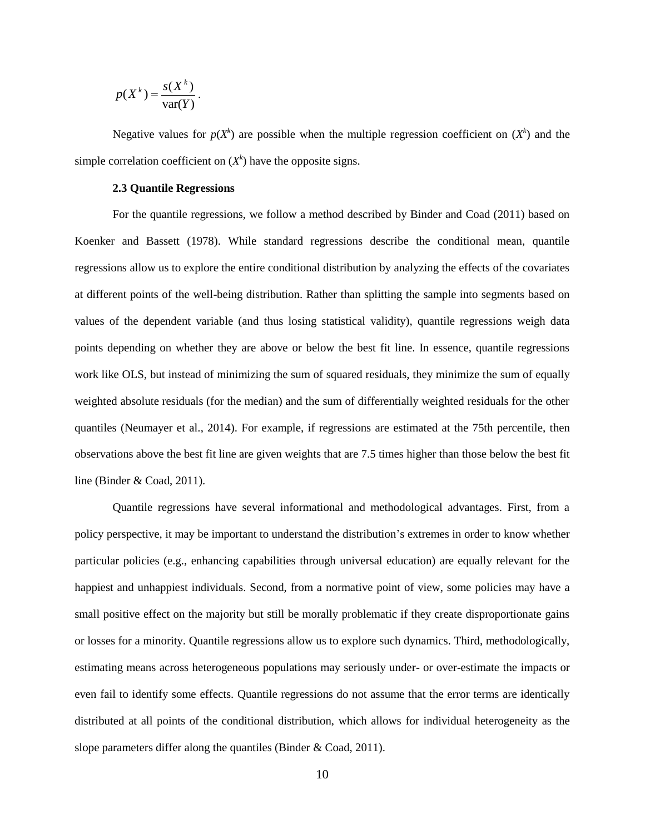$$
p(X^k) = \frac{s(X^k)}{\text{var}(Y)}.
$$

Negative values for  $p(X^k)$  are possible when the multiple regression coefficient on  $(X^k)$  and the simple correlation coefficient on  $(X^k)$  have the opposite signs.

#### **2.3 Quantile Regressions**

 $(X^k) = \frac{s(X^k)}{\text{var}(Y)}$ .<br>
egative values for  $p(X^k)$  are possible when<br>
relation coefficient on  $(X^k)$  have the opposite<br> **30 Quantile Regressions**<br>
or the quantile regressions, we follow a metl<br>
and Bassett (1978). While s For the quantile regressions, we follow a method described by Binder and Coad (2011) based on Koenker and Bassett (1978). While standard regressions describe the conditional mean, quantile regressions allow us to explore the entire conditional distribution by analyzing the effects of the covariates at different points of the well-being distribution. Rather than splitting the sample into segments based on values of the dependent variable (and thus losing statistical validity), quantile regressions weigh data points depending on whether they are above or below the best fit line. In essence, quantile regressions work like OLS, but instead of minimizing the sum of squared residuals, they minimize the sum of equally weighted absolute residuals (for the median) and the sum of differentially weighted residuals for the other quantiles (Neumayer et al., 2014). For example, if regressions are estimated at the 75th percentile, then observations above the best fit line are given weights that are 7.5 times higher than those below the best fit line (Binder & Coad, 2011).

Quantile regressions have several informational and methodological advantages. First, from a policy perspective, it may be important to understand the distribution"s extremes in order to know whether particular policies (e.g., enhancing capabilities through universal education) are equally relevant for the happiest and unhappiest individuals. Second, from a normative point of view, some policies may have a small positive effect on the majority but still be morally problematic if they create disproportionate gains or losses for a minority. Quantile regressions allow us to explore such dynamics. Third, methodologically, estimating means across heterogeneous populations may seriously under- or over-estimate the impacts or even fail to identify some effects. Quantile regressions do not assume that the error terms are identically distributed at all points of the conditional distribution, which allows for individual heterogeneity as the slope parameters differ along the quantiles (Binder & Coad, 2011).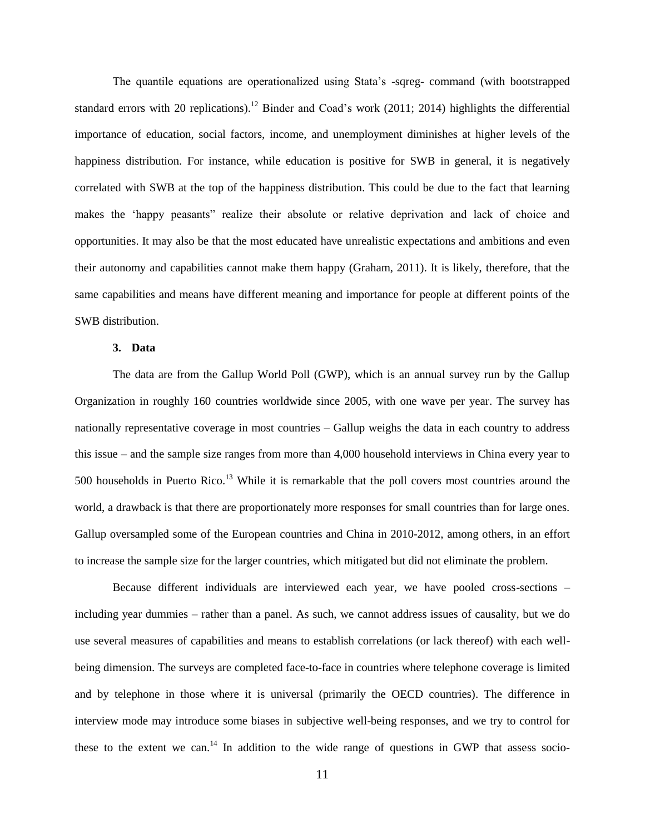The quantile equations are operationalized using Stata's -sqreg- command (with bootstrapped standard errors with 20 replications).<sup>12</sup> Binder and Coad's work (2011; 2014) highlights the differential importance of education, social factors, income, and unemployment diminishes at higher levels of the happiness distribution. For instance, while education is positive for SWB in general, it is negatively correlated with SWB at the top of the happiness distribution. This could be due to the fact that learning makes the "happy peasants" realize their absolute or relative deprivation and lack of choice and opportunities. It may also be that the most educated have unrealistic expectations and ambitions and even their autonomy and capabilities cannot make them happy (Graham, 2011). It is likely, therefore, that the same capabilities and means have different meaning and importance for people at different points of the SWB distribution.

#### **3. Data**

The data are from the Gallup World Poll (GWP), which is an annual survey run by the Gallup Organization in roughly 160 countries worldwide since 2005, with one wave per year. The survey has nationally representative coverage in most countries – Gallup weighs the data in each country to address this issue – and the sample size ranges from more than 4,000 household interviews in China every year to 500 households in Puerto Rico.<sup>13</sup> While it is remarkable that the poll covers most countries around the world, a drawback is that there are proportionately more responses for small countries than for large ones. Gallup oversampled some of the European countries and China in 2010-2012, among others, in an effort to increase the sample size for the larger countries, which mitigated but did not eliminate the problem.

Because different individuals are interviewed each year, we have pooled cross-sections – including year dummies – rather than a panel. As such, we cannot address issues of causality, but we do use several measures of capabilities and means to establish correlations (or lack thereof) with each wellbeing dimension. The surveys are completed face-to-face in countries where telephone coverage is limited and by telephone in those where it is universal (primarily the OECD countries). The difference in interview mode may introduce some biases in subjective well-being responses, and we try to control for these to the extent we can.<sup>14</sup> In addition to the wide range of questions in GWP that assess socio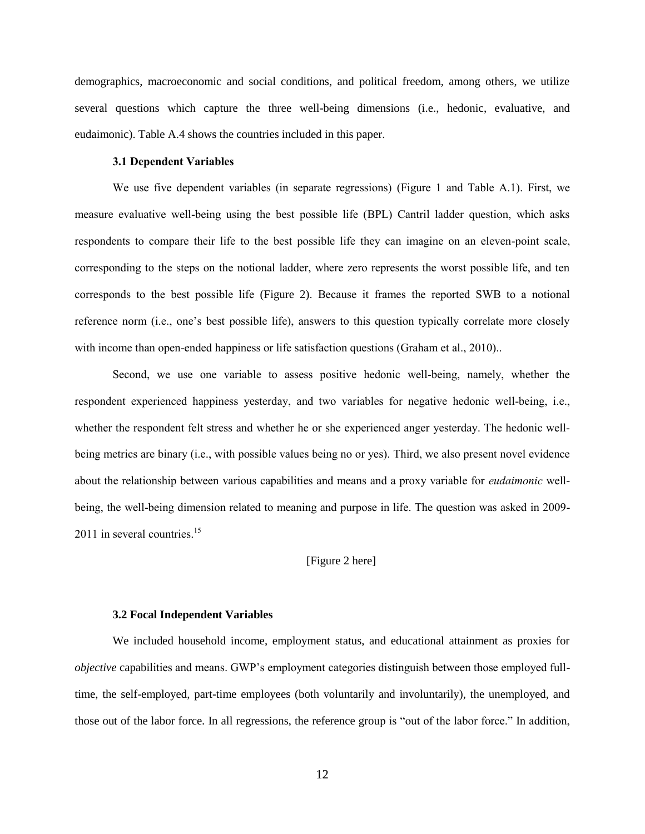demographics, macroeconomic and social conditions, and political freedom, among others, we utilize several questions which capture the three well-being dimensions (i.e., hedonic, evaluative, and eudaimonic). Table A.4 shows the countries included in this paper.

#### **3.1 Dependent Variables**

We use five dependent variables (in separate regressions) (Figure 1 and Table A.1). First, we measure evaluative well-being using the best possible life (BPL) Cantril ladder question, which asks respondents to compare their life to the best possible life they can imagine on an eleven-point scale, corresponding to the steps on the notional ladder, where zero represents the worst possible life, and ten corresponds to the best possible life (Figure 2). Because it frames the reported SWB to a notional reference norm (i.e., one's best possible life), answers to this question typically correlate more closely with income than open-ended happiness or life satisfaction questions (Graham et al., 2010)..

Second, we use one variable to assess positive hedonic well-being, namely, whether the respondent experienced happiness yesterday, and two variables for negative hedonic well-being, i.e., whether the respondent felt stress and whether he or she experienced anger yesterday. The hedonic wellbeing metrics are binary (i.e., with possible values being no or yes). Third, we also present novel evidence about the relationship between various capabilities and means and a proxy variable for *eudaimonic* wellbeing, the well-being dimension related to meaning and purpose in life. The question was asked in 2009- 2011 in several countries. $15$ 

#### [Figure 2 here]

#### **3.2 Focal Independent Variables**

We included household income, employment status, and educational attainment as proxies for *objective* capabilities and means. GWP"s employment categories distinguish between those employed fulltime, the self-employed, part-time employees (both voluntarily and involuntarily), the unemployed, and those out of the labor force. In all regressions, the reference group is "out of the labor force." In addition,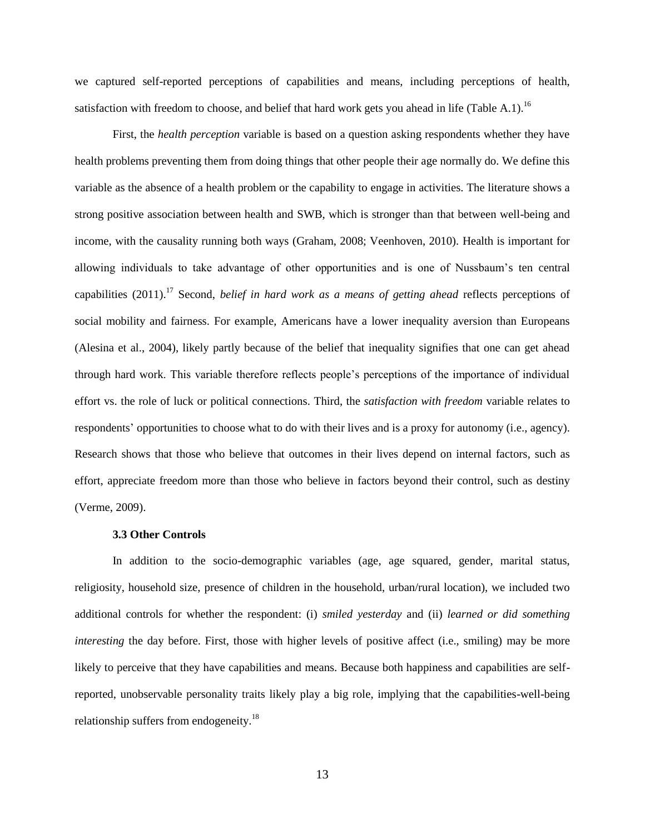we captured self-reported perceptions of capabilities and means, including perceptions of health, satisfaction with freedom to choose, and belief that hard work gets you ahead in life (Table A.1).<sup>16</sup>

First, the *health perception* variable is based on a question asking respondents whether they have health problems preventing them from doing things that other people their age normally do. We define this variable as the absence of a health problem or the capability to engage in activities. The literature shows a strong positive association between health and SWB, which is stronger than that between well-being and income, with the causality running both ways (Graham, 2008; Veenhoven, 2010). Health is important for allowing individuals to take advantage of other opportunities and is one of Nussbaum"s ten central capabilities (2011).<sup>17</sup> Second, *belief in hard work as a means of getting ahead* reflects perceptions of social mobility and fairness. For example, Americans have a lower inequality aversion than Europeans (Alesina et al., 2004), likely partly because of the belief that inequality signifies that one can get ahead through hard work. This variable therefore reflects people"s perceptions of the importance of individual effort vs. the role of luck or political connections. Third, the *satisfaction with freedom* variable relates to respondents" opportunities to choose what to do with their lives and is a proxy for autonomy (i.e., agency). Research shows that those who believe that outcomes in their lives depend on internal factors, such as effort, appreciate freedom more than those who believe in factors beyond their control, such as destiny (Verme, 2009).

#### **3.3 Other Controls**

In addition to the socio-demographic variables (age, age squared, gender, marital status, religiosity, household size, presence of children in the household, urban/rural location), we included two additional controls for whether the respondent: (i) *smiled yesterday* and (ii) *learned or did something interesting* the day before. First, those with higher levels of positive affect (i.e., smiling) may be more likely to perceive that they have capabilities and means. Because both happiness and capabilities are selfreported, unobservable personality traits likely play a big role, implying that the capabilities-well-being relationship suffers from endogeneity.<sup>18</sup>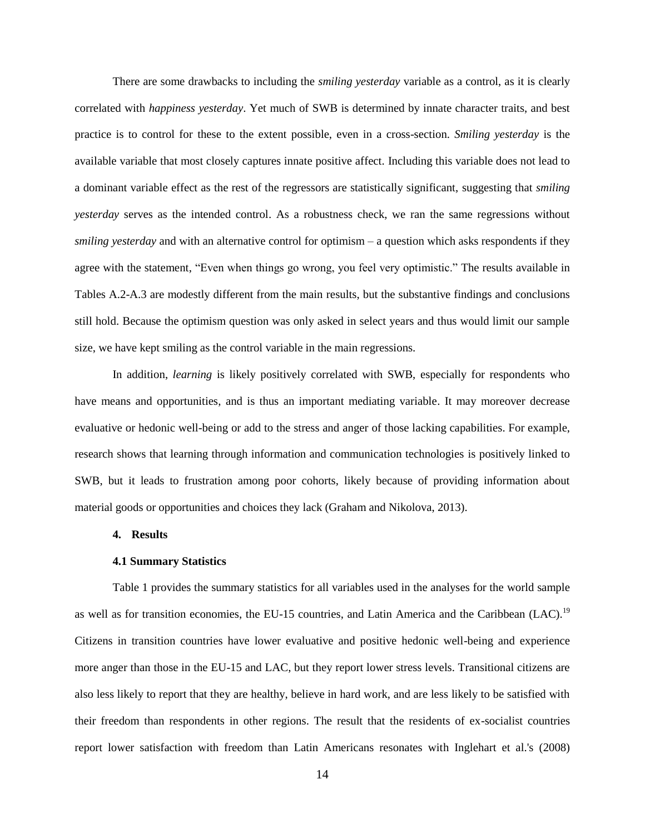There are some drawbacks to including the *smiling yesterday* variable as a control, as it is clearly correlated with *happiness yesterday*. Yet much of SWB is determined by innate character traits, and best practice is to control for these to the extent possible, even in a cross-section. *Smiling yesterday* is the available variable that most closely captures innate positive affect. Including this variable does not lead to a dominant variable effect as the rest of the regressors are statistically significant, suggesting that *smiling yesterday* serves as the intended control. As a robustness check, we ran the same regressions without *smiling yesterday* and with an alternative control for optimism – a question which asks respondents if they agree with the statement, "Even when things go wrong, you feel very optimistic." The results available in Tables A.2-A.3 are modestly different from the main results, but the substantive findings and conclusions still hold. Because the optimism question was only asked in select years and thus would limit our sample size, we have kept smiling as the control variable in the main regressions.

In addition, *learning* is likely positively correlated with SWB, especially for respondents who have means and opportunities, and is thus an important mediating variable. It may moreover decrease evaluative or hedonic well-being or add to the stress and anger of those lacking capabilities. For example, research shows that learning through information and communication technologies is positively linked to SWB, but it leads to frustration among poor cohorts, likely because of providing information about material goods or opportunities and choices they lack (Graham and Nikolova, 2013).

#### **4. Results**

#### **4.1 Summary Statistics**

Table 1 provides the summary statistics for all variables used in the analyses for the world sample as well as for transition economies, the EU-15 countries, and Latin America and the Caribbean (LAC).<sup>19</sup> Citizens in transition countries have lower evaluative and positive hedonic well-being and experience more anger than those in the EU-15 and LAC, but they report lower stress levels. Transitional citizens are also less likely to report that they are healthy, believe in hard work, and are less likely to be satisfied with their freedom than respondents in other regions. The result that the residents of ex-socialist countries report lower satisfaction with freedom than Latin Americans resonates with Inglehart et al.'s (2008)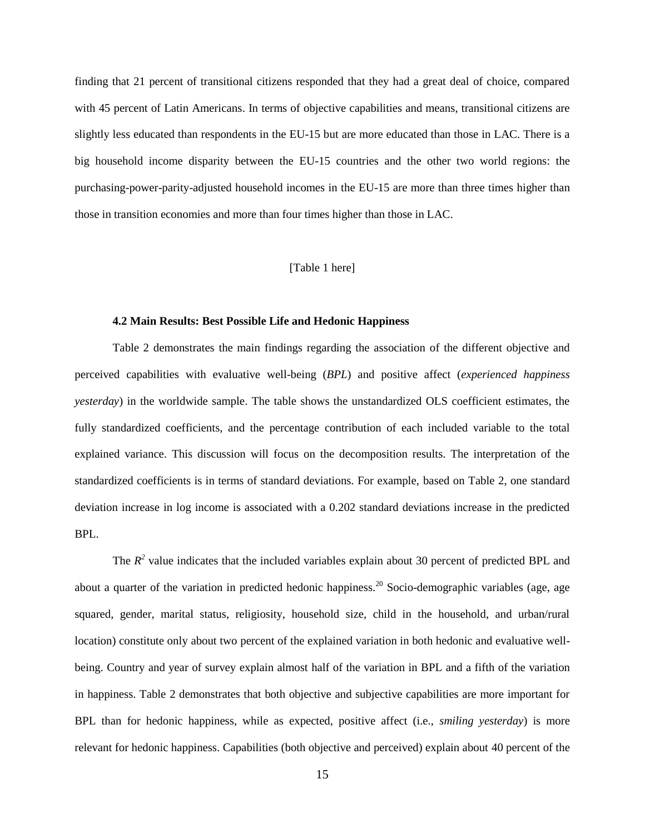finding that 21 percent of transitional citizens responded that they had a great deal of choice, compared with 45 percent of Latin Americans. In terms of objective capabilities and means, transitional citizens are slightly less educated than respondents in the EU-15 but are more educated than those in LAC. There is a big household income disparity between the EU-15 countries and the other two world regions: the purchasing-power-parity-adjusted household incomes in the EU-15 are more than three times higher than those in transition economies and more than four times higher than those in LAC.

#### [Table 1 here]

#### **4.2 Main Results: Best Possible Life and Hedonic Happiness**

Table 2 demonstrates the main findings regarding the association of the different objective and perceived capabilities with evaluative well-being (*BPL*) and positive affect (*experienced happiness yesterday*) in the worldwide sample. The table shows the unstandardized OLS coefficient estimates, the fully standardized coefficients, and the percentage contribution of each included variable to the total explained variance. This discussion will focus on the decomposition results. The interpretation of the standardized coefficients is in terms of standard deviations. For example, based on Table 2, one standard deviation increase in log income is associated with a 0.202 standard deviations increase in the predicted BPL.

The  $R<sup>2</sup>$  value indicates that the included variables explain about 30 percent of predicted BPL and about a quarter of the variation in predicted hedonic happiness.<sup>20</sup> Socio-demographic variables (age, age squared, gender, marital status, religiosity, household size, child in the household, and urban/rural location) constitute only about two percent of the explained variation in both hedonic and evaluative wellbeing. Country and year of survey explain almost half of the variation in BPL and a fifth of the variation in happiness. Table 2 demonstrates that both objective and subjective capabilities are more important for BPL than for hedonic happiness, while as expected, positive affect (i.e., *smiling yesterday*) is more relevant for hedonic happiness. Capabilities (both objective and perceived) explain about 40 percent of the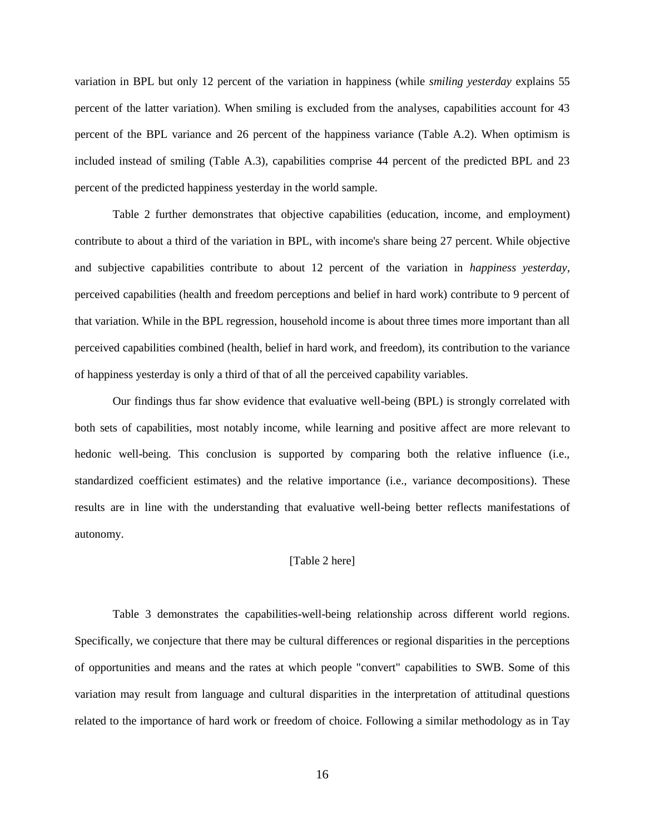variation in BPL but only 12 percent of the variation in happiness (while *smiling yesterday* explains 55 percent of the latter variation). When smiling is excluded from the analyses, capabilities account for 43 percent of the BPL variance and 26 percent of the happiness variance (Table A.2). When optimism is included instead of smiling (Table A.3), capabilities comprise 44 percent of the predicted BPL and 23 percent of the predicted happiness yesterday in the world sample.

Table 2 further demonstrates that objective capabilities (education, income, and employment) contribute to about a third of the variation in BPL, with income's share being 27 percent. While objective and subjective capabilities contribute to about 12 percent of the variation in *happiness yesterday*, perceived capabilities (health and freedom perceptions and belief in hard work) contribute to 9 percent of that variation. While in the BPL regression, household income is about three times more important than all perceived capabilities combined (health, belief in hard work, and freedom), its contribution to the variance of happiness yesterday is only a third of that of all the perceived capability variables.

Our findings thus far show evidence that evaluative well-being (BPL) is strongly correlated with both sets of capabilities, most notably income, while learning and positive affect are more relevant to hedonic well-being. This conclusion is supported by comparing both the relative influence (i.e., standardized coefficient estimates) and the relative importance (i.e., variance decompositions). These results are in line with the understanding that evaluative well-being better reflects manifestations of autonomy.

#### [Table 2 here]

Table 3 demonstrates the capabilities-well-being relationship across different world regions. Specifically, we conjecture that there may be cultural differences or regional disparities in the perceptions of opportunities and means and the rates at which people "convert" capabilities to SWB. Some of this variation may result from language and cultural disparities in the interpretation of attitudinal questions related to the importance of hard work or freedom of choice. Following a similar methodology as in Tay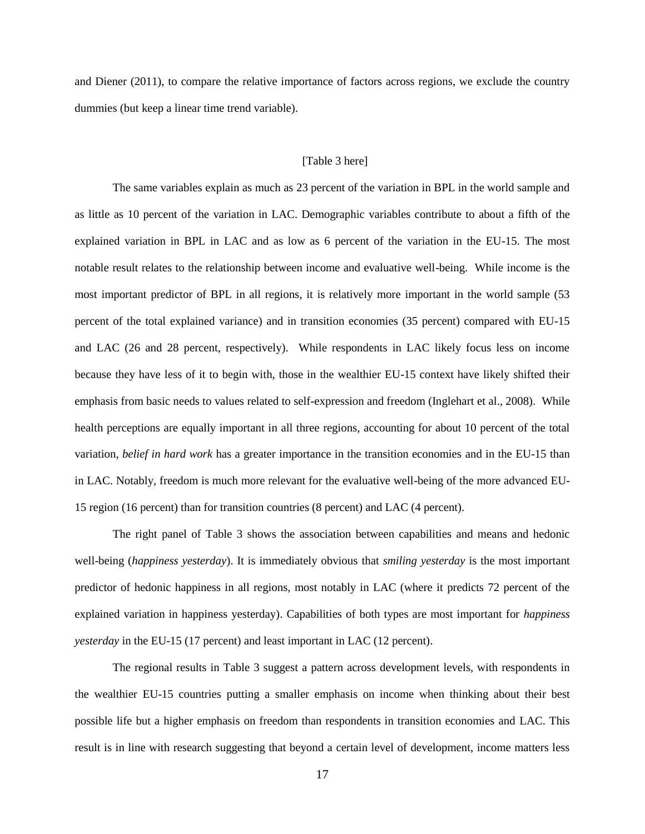and Diener (2011), to compare the relative importance of factors across regions, we exclude the country dummies (but keep a linear time trend variable).

#### [Table 3 here]

The same variables explain as much as 23 percent of the variation in BPL in the world sample and as little as 10 percent of the variation in LAC. Demographic variables contribute to about a fifth of the explained variation in BPL in LAC and as low as 6 percent of the variation in the EU-15. The most notable result relates to the relationship between income and evaluative well-being. While income is the most important predictor of BPL in all regions, it is relatively more important in the world sample (53 percent of the total explained variance) and in transition economies (35 percent) compared with EU-15 and LAC (26 and 28 percent, respectively). While respondents in LAC likely focus less on income because they have less of it to begin with, those in the wealthier EU-15 context have likely shifted their emphasis from basic needs to values related to self-expression and freedom (Inglehart et al., 2008). While health perceptions are equally important in all three regions, accounting for about 10 percent of the total variation, *belief in hard work* has a greater importance in the transition economies and in the EU-15 than in LAC. Notably, freedom is much more relevant for the evaluative well-being of the more advanced EU-15 region (16 percent) than for transition countries (8 percent) and LAC (4 percent).

The right panel of Table 3 shows the association between capabilities and means and hedonic well-being (*happiness yesterday*). It is immediately obvious that *smiling yesterday* is the most important predictor of hedonic happiness in all regions, most notably in LAC (where it predicts 72 percent of the explained variation in happiness yesterday). Capabilities of both types are most important for *happiness yesterday* in the EU-15 (17 percent) and least important in LAC (12 percent).

The regional results in Table 3 suggest a pattern across development levels, with respondents in the wealthier EU-15 countries putting a smaller emphasis on income when thinking about their best possible life but a higher emphasis on freedom than respondents in transition economies and LAC. This result is in line with research suggesting that beyond a certain level of development, income matters less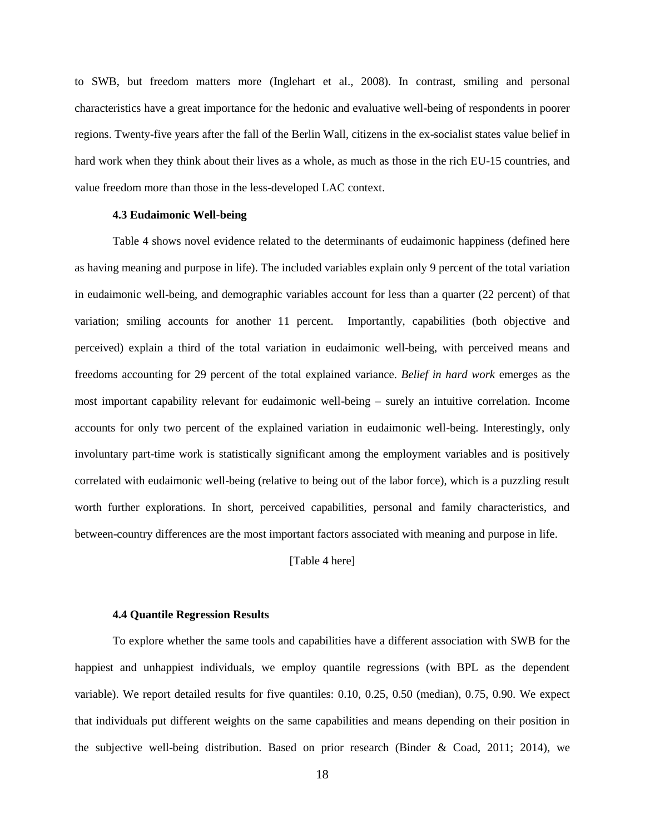to SWB, but freedom matters more (Inglehart et al., 2008). In contrast, smiling and personal characteristics have a great importance for the hedonic and evaluative well-being of respondents in poorer regions. Twenty-five years after the fall of the Berlin Wall, citizens in the ex-socialist states value belief in hard work when they think about their lives as a whole, as much as those in the rich EU-15 countries, and value freedom more than those in the less-developed LAC context.

#### **4.3 Eudaimonic Well-being**

Table 4 shows novel evidence related to the determinants of eudaimonic happiness (defined here as having meaning and purpose in life). The included variables explain only 9 percent of the total variation in eudaimonic well-being, and demographic variables account for less than a quarter (22 percent) of that variation; smiling accounts for another 11 percent. Importantly, capabilities (both objective and perceived) explain a third of the total variation in eudaimonic well-being, with perceived means and freedoms accounting for 29 percent of the total explained variance. *Belief in hard work* emerges as the most important capability relevant for eudaimonic well-being – surely an intuitive correlation. Income accounts for only two percent of the explained variation in eudaimonic well-being. Interestingly, only involuntary part-time work is statistically significant among the employment variables and is positively correlated with eudaimonic well-being (relative to being out of the labor force), which is a puzzling result worth further explorations. In short, perceived capabilities, personal and family characteristics, and between-country differences are the most important factors associated with meaning and purpose in life.

[Table 4 here]

#### **4.4 Quantile Regression Results**

To explore whether the same tools and capabilities have a different association with SWB for the happiest and unhappiest individuals, we employ quantile regressions (with BPL as the dependent variable). We report detailed results for five quantiles: 0.10, 0.25, 0.50 (median), 0.75, 0.90. We expect that individuals put different weights on the same capabilities and means depending on their position in the subjective well-being distribution. Based on prior research (Binder & Coad, 2011; 2014), we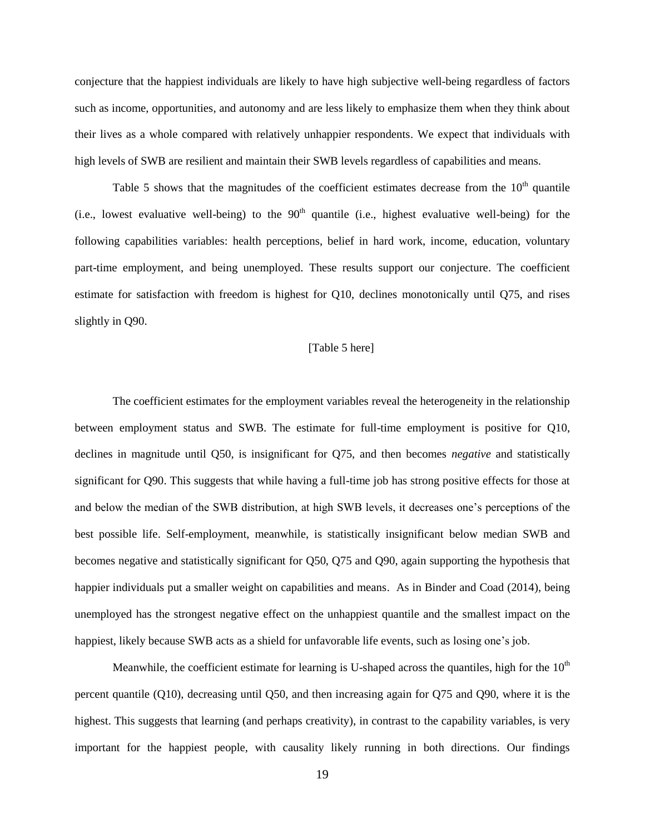conjecture that the happiest individuals are likely to have high subjective well-being regardless of factors such as income, opportunities, and autonomy and are less likely to emphasize them when they think about their lives as a whole compared with relatively unhappier respondents. We expect that individuals with high levels of SWB are resilient and maintain their SWB levels regardless of capabilities and means.

Table 5 shows that the magnitudes of the coefficient estimates decrease from the  $10<sup>th</sup>$  quantile (i.e., lowest evaluative well-being) to the  $90<sup>th</sup>$  quantile (i.e., highest evaluative well-being) for the following capabilities variables: health perceptions, belief in hard work, income, education, voluntary part-time employment, and being unemployed. These results support our conjecture. The coefficient estimate for satisfaction with freedom is highest for Q10, declines monotonically until Q75, and rises slightly in Q90.

#### [Table 5 here]

The coefficient estimates for the employment variables reveal the heterogeneity in the relationship between employment status and SWB. The estimate for full-time employment is positive for Q10, declines in magnitude until Q50, is insignificant for Q75, and then becomes *negative* and statistically significant for Q90. This suggests that while having a full-time job has strong positive effects for those at and below the median of the SWB distribution, at high SWB levels, it decreases one"s perceptions of the best possible life. Self-employment, meanwhile, is statistically insignificant below median SWB and becomes negative and statistically significant for Q50, Q75 and Q90, again supporting the hypothesis that happier individuals put a smaller weight on capabilities and means. As in Binder and Coad (2014), being unemployed has the strongest negative effect on the unhappiest quantile and the smallest impact on the happiest, likely because SWB acts as a shield for unfavorable life events, such as losing one's job.

Meanwhile, the coefficient estimate for learning is U-shaped across the quantiles, high for the  $10<sup>th</sup>$ percent quantile (Q10), decreasing until Q50, and then increasing again for Q75 and Q90, where it is the highest. This suggests that learning (and perhaps creativity), in contrast to the capability variables, is very important for the happiest people, with causality likely running in both directions. Our findings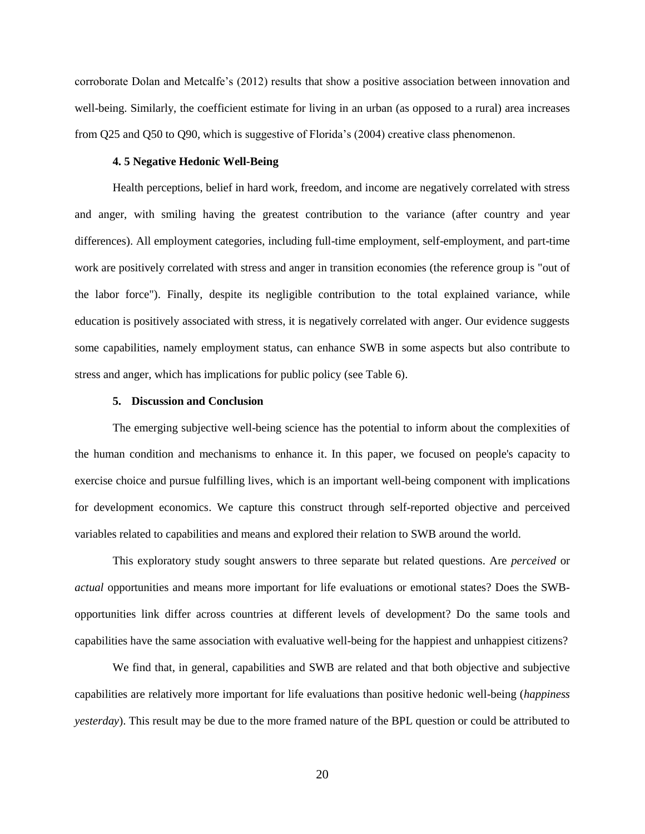corroborate Dolan and Metcalfe"s (2012) results that show a positive association between innovation and well-being. Similarly, the coefficient estimate for living in an urban (as opposed to a rural) area increases from Q25 and Q50 to Q90, which is suggestive of Florida's (2004) creative class phenomenon.

#### **4. 5 Negative Hedonic Well-Being**

Health perceptions, belief in hard work, freedom, and income are negatively correlated with stress and anger, with smiling having the greatest contribution to the variance (after country and year differences). All employment categories, including full-time employment, self-employment, and part-time work are positively correlated with stress and anger in transition economies (the reference group is "out of the labor force"). Finally, despite its negligible contribution to the total explained variance, while education is positively associated with stress, it is negatively correlated with anger. Our evidence suggests some capabilities, namely employment status, can enhance SWB in some aspects but also contribute to stress and anger, which has implications for public policy (see Table 6).

#### **5. Discussion and Conclusion**

The emerging subjective well-being science has the potential to inform about the complexities of the human condition and mechanisms to enhance it. In this paper, we focused on people's capacity to exercise choice and pursue fulfilling lives, which is an important well-being component with implications for development economics. We capture this construct through self-reported objective and perceived variables related to capabilities and means and explored their relation to SWB around the world.

This exploratory study sought answers to three separate but related questions. Are *perceived* or *actual* opportunities and means more important for life evaluations or emotional states? Does the SWBopportunities link differ across countries at different levels of development? Do the same tools and capabilities have the same association with evaluative well-being for the happiest and unhappiest citizens?

We find that, in general, capabilities and SWB are related and that both objective and subjective capabilities are relatively more important for life evaluations than positive hedonic well-being (*happiness yesterday*). This result may be due to the more framed nature of the BPL question or could be attributed to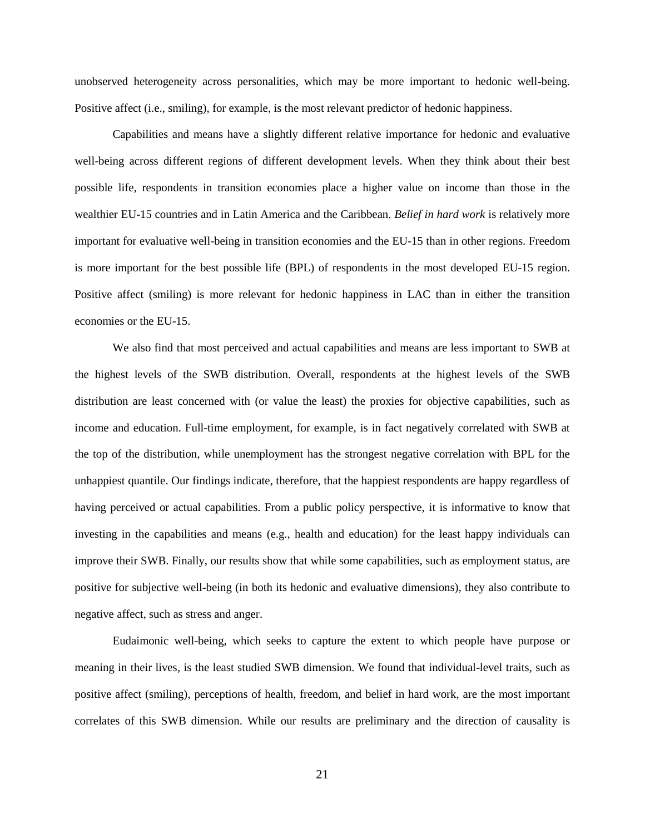unobserved heterogeneity across personalities, which may be more important to hedonic well-being. Positive affect (i.e., smiling), for example, is the most relevant predictor of hedonic happiness.

Capabilities and means have a slightly different relative importance for hedonic and evaluative well-being across different regions of different development levels. When they think about their best possible life, respondents in transition economies place a higher value on income than those in the wealthier EU-15 countries and in Latin America and the Caribbean. *Belief in hard work* is relatively more important for evaluative well-being in transition economies and the EU-15 than in other regions. Freedom is more important for the best possible life (BPL) of respondents in the most developed EU-15 region. Positive affect (smiling) is more relevant for hedonic happiness in LAC than in either the transition economies or the EU-15.

We also find that most perceived and actual capabilities and means are less important to SWB at the highest levels of the SWB distribution. Overall, respondents at the highest levels of the SWB distribution are least concerned with (or value the least) the proxies for objective capabilities, such as income and education. Full-time employment, for example, is in fact negatively correlated with SWB at the top of the distribution, while unemployment has the strongest negative correlation with BPL for the unhappiest quantile. Our findings indicate, therefore, that the happiest respondents are happy regardless of having perceived or actual capabilities. From a public policy perspective, it is informative to know that investing in the capabilities and means (e.g., health and education) for the least happy individuals can improve their SWB. Finally, our results show that while some capabilities, such as employment status, are positive for subjective well-being (in both its hedonic and evaluative dimensions), they also contribute to negative affect, such as stress and anger.

Eudaimonic well-being, which seeks to capture the extent to which people have purpose or meaning in their lives, is the least studied SWB dimension. We found that individual-level traits, such as positive affect (smiling), perceptions of health, freedom, and belief in hard work, are the most important correlates of this SWB dimension. While our results are preliminary and the direction of causality is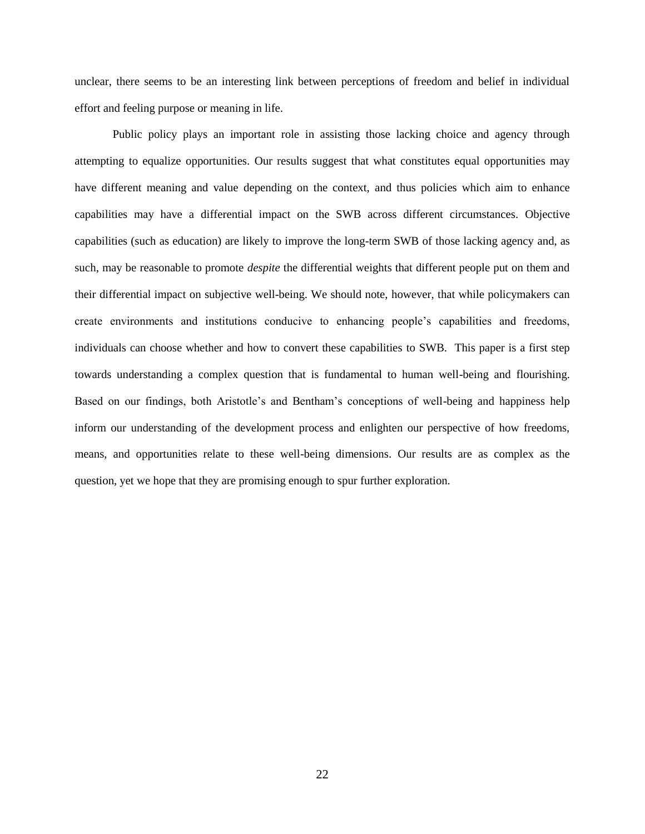unclear, there seems to be an interesting link between perceptions of freedom and belief in individual effort and feeling purpose or meaning in life.

Public policy plays an important role in assisting those lacking choice and agency through attempting to equalize opportunities. Our results suggest that what constitutes equal opportunities may have different meaning and value depending on the context, and thus policies which aim to enhance capabilities may have a differential impact on the SWB across different circumstances. Objective capabilities (such as education) are likely to improve the long-term SWB of those lacking agency and, as such, may be reasonable to promote *despite* the differential weights that different people put on them and their differential impact on subjective well-being. We should note, however, that while policymakers can create environments and institutions conducive to enhancing people"s capabilities and freedoms, individuals can choose whether and how to convert these capabilities to SWB. This paper is a first step towards understanding a complex question that is fundamental to human well-being and flourishing. Based on our findings, both Aristotle's and Bentham's conceptions of well-being and happiness help inform our understanding of the development process and enlighten our perspective of how freedoms, means, and opportunities relate to these well-being dimensions. Our results are as complex as the question, yet we hope that they are promising enough to spur further exploration.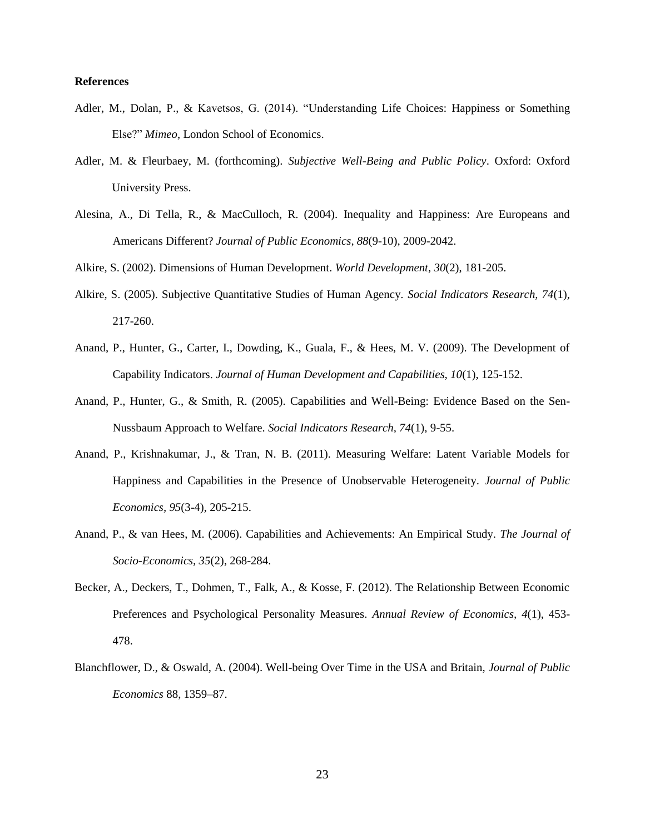#### **References**

- Adler, M., Dolan, P., & Kavetsos, G. (2014). "Understanding Life Choices: Happiness or Something Else?" *Mimeo*, London School of Economics.
- Adler, M. & Fleurbaey, M. (forthcoming). *Subjective Well-Being and Public Policy*. Oxford: Oxford University Press.
- Alesina, A., Di Tella, R., & MacCulloch, R. (2004). Inequality and Happiness: Are Europeans and Americans Different? *Journal of Public Economics, 88*(9-10), 2009-2042.
- Alkire, S. (2002). Dimensions of Human Development. *World Development*, *30*(2), 181-205.
- Alkire, S. (2005). Subjective Quantitative Studies of Human Agency. *Social Indicators Research, 74*(1), 217-260.
- Anand, P., Hunter, G., Carter, I., Dowding, K., Guala, F., & Hees, M. V. (2009). The Development of Capability Indicators. *Journal of Human Development and Capabilities, 10*(1), 125-152.
- Anand, P., Hunter, G., & Smith, R. (2005). Capabilities and Well-Being: Evidence Based on the Sen-Nussbaum Approach to Welfare. *Social Indicators Research, 74*(1), 9-55.
- Anand, P., Krishnakumar, J., & Tran, N. B. (2011). Measuring Welfare: Latent Variable Models for Happiness and Capabilities in the Presence of Unobservable Heterogeneity. *Journal of Public Economics, 95*(3-4), 205-215.
- Anand, P., & van Hees, M. (2006). Capabilities and Achievements: An Empirical Study. *The Journal of Socio-Economics, 35*(2), 268-284.
- Becker, A., Deckers, T., Dohmen, T., Falk, A., & Kosse, F. (2012). The Relationship Between Economic Preferences and Psychological Personality Measures. *Annual Review of Economics, 4*(1), 453- 478.
- Blanchflower, D., & Oswald, A. (2004). Well-being Over Time in the USA and Britain, *Journal of Public Economics* 88, 1359–87.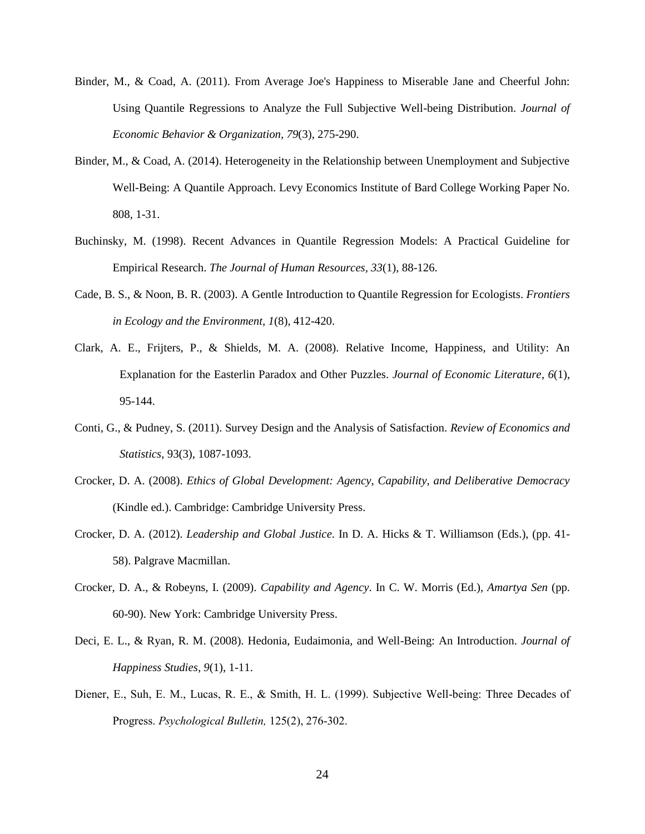- Binder, M., & Coad, A. (2011). From Average Joe's Happiness to Miserable Jane and Cheerful John: Using Quantile Regressions to Analyze the Full Subjective Well-being Distribution. *Journal of Economic Behavior & Organization, 79*(3), 275-290.
- Binder, M., & Coad, A. (2014). Heterogeneity in the Relationship between Unemployment and Subjective Well-Being: A Quantile Approach. Levy Economics Institute of Bard College Working Paper No. 808, 1-31.
- Buchinsky, M. (1998). Recent Advances in Quantile Regression Models: A Practical Guideline for Empirical Research. *The Journal of Human Resources, 33*(1), 88-126.
- Cade, B. S., & Noon, B. R. (2003). A Gentle Introduction to Quantile Regression for Ecologists. *Frontiers in Ecology and the Environment, 1*(8), 412-420.
- Clark, A. E., Frijters, P., & Shields, M. A. (2008). Relative Income, Happiness, and Utility: An Explanation for the Easterlin Paradox and Other Puzzles. *Journal of Economic Literature*, *6*(1), 95-144.
- Conti, G., & Pudney, S. (2011). Survey Design and the Analysis of Satisfaction. *Review of Economics and Statistics*, 93(3), 1087-1093.
- Crocker, D. A. (2008). *Ethics of Global Development: Agency, Capability, and Deliberative Democracy* (Kindle ed.). Cambridge: Cambridge University Press.
- Crocker, D. A. (2012). *Leadership and Global Justice*. In D. A. Hicks & T. Williamson (Eds.), (pp. 41- 58). Palgrave Macmillan.
- Crocker, D. A., & Robeyns, I. (2009). *Capability and Agency*. In C. W. Morris (Ed.), *Amartya Sen* (pp. 60-90). New York: Cambridge University Press.
- Deci, E. L., & Ryan, R. M. (2008). Hedonia, Eudaimonia, and Well-Being: An Introduction. *Journal of Happiness Studies, 9*(1), 1-11.
- Diener, E., Suh, E. M., Lucas, R. E., & Smith, H. L. (1999). Subjective Well-being: Three Decades of Progress. *Psychological Bulletin,* 125(2), 276-302.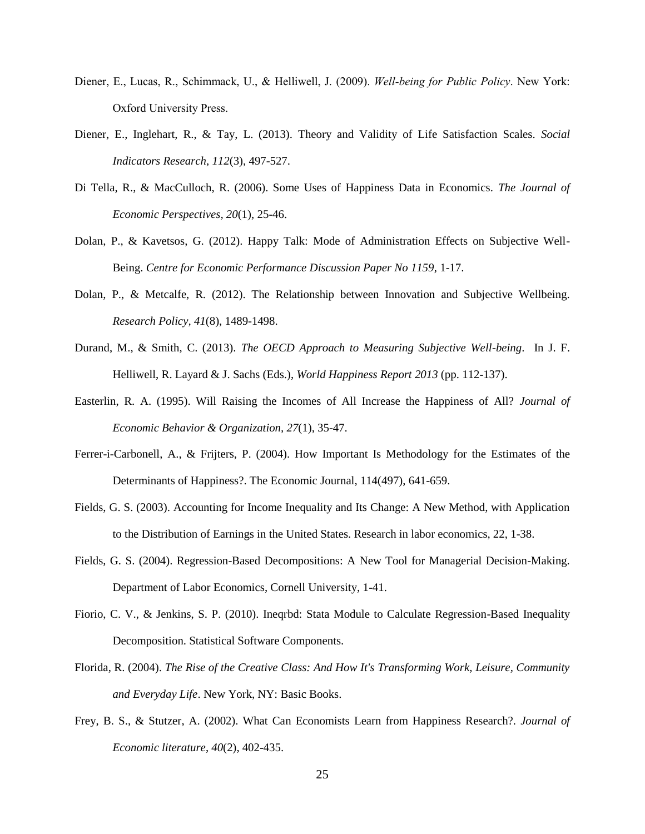- Diener, E., Lucas, R., Schimmack, U., & Helliwell, J. (2009). *Well-being for Public Policy*. New York: Oxford University Press.
- Diener, E., Inglehart, R., & Tay, L. (2013). Theory and Validity of Life Satisfaction Scales. *Social Indicators Research*, *112*(3), 497-527.
- Di Tella, R., & MacCulloch, R. (2006). Some Uses of Happiness Data in Economics. *The Journal of Economic Perspectives, 20*(1), 25-46.
- Dolan, P., & Kavetsos, G. (2012). Happy Talk: Mode of Administration Effects on Subjective Well-Being. *Centre for Economic Performance Discussion Paper No 1159*, 1-17.
- Dolan, P., & Metcalfe, R. (2012). The Relationship between Innovation and Subjective Wellbeing. *Research Policy, 41*(8), 1489-1498.
- Durand, M., & Smith, C. (2013). *The OECD Approach to Measuring Subjective Well-being*. In J. F. Helliwell, R. Layard & J. Sachs (Eds.), *World Happiness Report 2013* (pp. 112-137).
- Easterlin, R. A. (1995). Will Raising the Incomes of All Increase the Happiness of All? *Journal of Economic Behavior & Organization, 27*(1), 35-47.
- Ferrer-i-Carbonell, A., & Frijters, P. (2004). How Important Is Methodology for the Estimates of the Determinants of Happiness?. The Economic Journal, 114(497), 641-659.
- Fields, G. S. (2003). Accounting for Income Inequality and Its Change: A New Method, with Application to the Distribution of Earnings in the United States. Research in labor economics, 22, 1-38.
- Fields, G. S. (2004). Regression-Based Decompositions: A New Tool for Managerial Decision-Making. Department of Labor Economics, Cornell University, 1-41.
- Fiorio, C. V., & Jenkins, S. P. (2010). Ineqrbd: Stata Module to Calculate Regression-Based Inequality Decomposition. Statistical Software Components.
- Florida, R. (2004). *The Rise of the Creative Class: And How It's Transforming Work, Leisure, Community and Everyday Life*. New York, NY: Basic Books.
- Frey, B. S., & Stutzer, A. (2002). What Can Economists Learn from Happiness Research?. *Journal of Economic literature*, *40*(2), 402-435.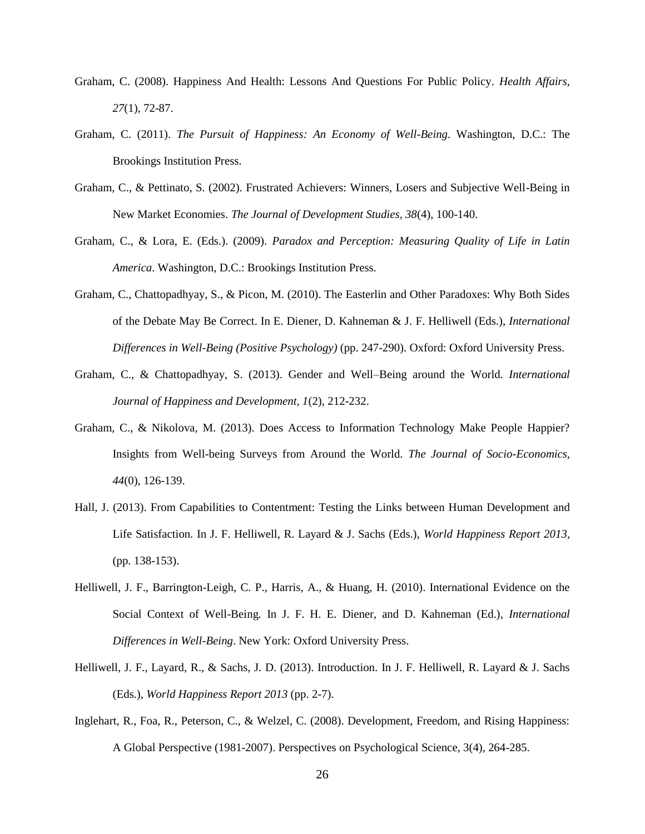- Graham, C. (2008). Happiness And Health: Lessons And Questions For Public Policy. *Health Affairs, 27*(1), 72-87.
- Graham, C. (2011). *The Pursuit of Happiness: An Economy of Well-Being*. Washington, D.C.: The Brookings Institution Press.
- Graham, C., & Pettinato, S. (2002). Frustrated Achievers: Winners, Losers and Subjective Well-Being in New Market Economies. *The Journal of Development Studies, 38*(4), 100-140.
- Graham, C., & Lora, E. (Eds.). (2009). *Paradox and Perception: Measuring Quality of Life in Latin America*. Washington, D.C.: Brookings Institution Press.
- Graham, C., Chattopadhyay, S., & Picon, M. (2010). The Easterlin and Other Paradoxes: Why Both Sides of the Debate May Be Correct. In E. Diener, D. Kahneman & J. F. Helliwell (Eds.), *International Differences in Well-Being (Positive Psychology)* (pp. 247-290). Oxford: Oxford University Press.
- Graham, C., & Chattopadhyay, S. (2013). Gender and Well–Being around the World. *International Journal of Happiness and Development, 1*(2), 212-232.
- Graham, C., & Nikolova, M. (2013). Does Access to Information Technology Make People Happier? Insights from Well-being Surveys from Around the World. *The Journal of Socio-Economics, 44*(0), 126-139.
- Hall, J. (2013). From Capabilities to Contentment: Testing the Links between Human Development and Life Satisfaction. In J. F. Helliwell, R. Layard & J. Sachs (Eds.), *World Happiness Report 2013,*  (pp. 138-153).
- Helliwell, J. F., Barrington-Leigh, C. P., Harris, A., & Huang, H. (2010). International Evidence on the Social Context of Well-Being*.* In J. F. H. E. Diener, and D. Kahneman (Ed.), *International Differences in Well-Being*. New York: Oxford University Press.
- Helliwell, J. F., Layard, R., & Sachs, J. D. (2013). Introduction. In J. F. Helliwell, R. Layard & J. Sachs (Eds.), *World Happiness Report 2013* (pp. 2-7).
- Inglehart, R., Foa, R., Peterson, C., & Welzel, C. (2008). Development, Freedom, and Rising Happiness: A Global Perspective (1981-2007). Perspectives on Psychological Science, 3(4), 264-285.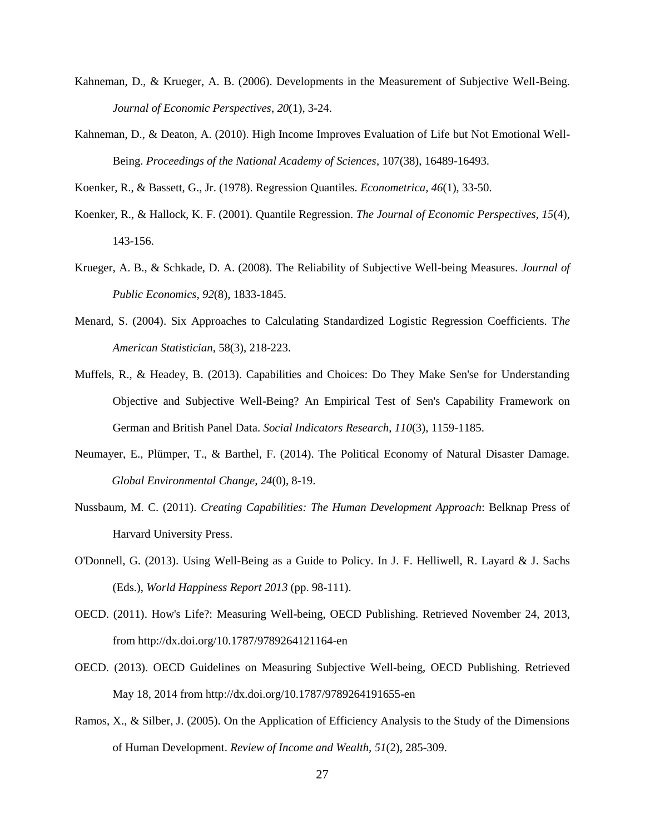- Kahneman, D., & Krueger, A. B. (2006). Developments in the Measurement of Subjective Well-Being. *Journal of Economic Perspectives*, *20*(1), 3-24.
- Kahneman, D., & Deaton, A. (2010). High Income Improves Evaluation of Life but Not Emotional Well-Being. *Proceedings of the National Academy of Sciences*, 107(38), 16489-16493.

Koenker, R., & Bassett, G., Jr. (1978). Regression Quantiles. *Econometrica, 46*(1), 33-50.

- Koenker, R., & Hallock, K. F. (2001). Quantile Regression. *The Journal of Economic Perspectives, 15*(4), 143-156.
- Krueger, A. B., & Schkade, D. A. (2008). The Reliability of Subjective Well-being Measures. *Journal of Public Economics*, *92*(8), 1833-1845.
- Menard, S. (2004). Six Approaches to Calculating Standardized Logistic Regression Coefficients. T*he American Statistician*, 58(3), 218-223.
- Muffels, R., & Headey, B. (2013). Capabilities and Choices: Do They Make Sen'se for Understanding Objective and Subjective Well-Being? An Empirical Test of Sen's Capability Framework on German and British Panel Data. *Social Indicators Research*, *110*(3), 1159-1185.
- Neumayer, E., Plümper, T., & Barthel, F. (2014). The Political Economy of Natural Disaster Damage. *Global Environmental Change, 24*(0), 8-19.
- Nussbaum, M. C. (2011). *Creating Capabilities: The Human Development Approach*: Belknap Press of Harvard University Press.
- O'Donnell, G. (2013). Using Well-Being as a Guide to Policy. In J. F. Helliwell, R. Layard & J. Sachs (Eds.), *World Happiness Report 2013* (pp. 98-111).
- OECD. (2011). How's Life?: Measuring Well-being, OECD Publishing. Retrieved November 24, 2013, from http://dx.doi.org/10.1787/9789264121164-en
- OECD. (2013). OECD Guidelines on Measuring Subjective Well-being, OECD Publishing. Retrieved May 18, 2014 from http://dx.doi.org/10.1787/9789264191655-en
- Ramos, X., & Silber, J. (2005). On the Application of Efficiency Analysis to the Study of the Dimensions of Human Development. *Review of Income and Wealth, 51*(2), 285-309.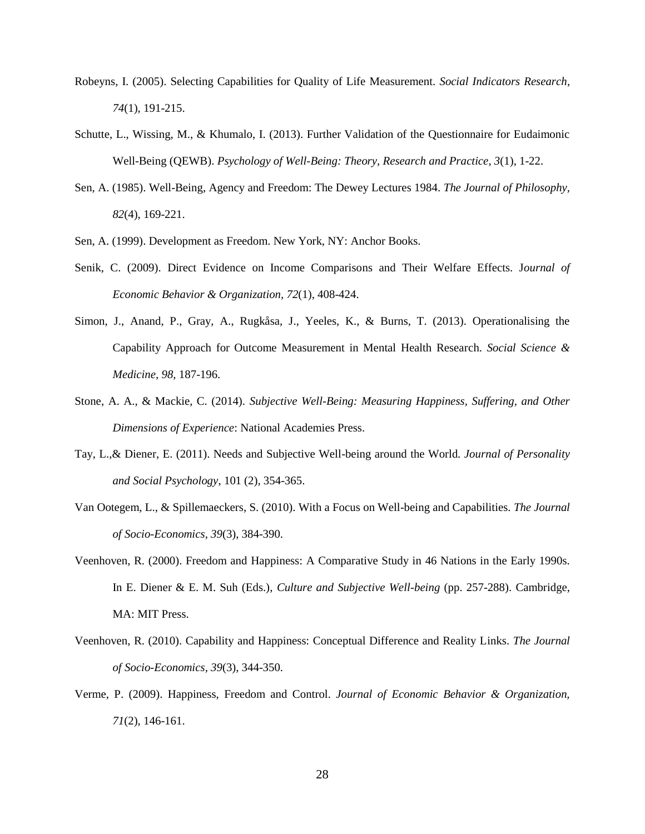- Robeyns, I. (2005). Selecting Capabilities for Quality of Life Measurement. *Social Indicators Research*, *74*(1), 191-215.
- Schutte, L., Wissing, M., & Khumalo, I. (2013). Further Validation of the Questionnaire for Eudaimonic Well-Being (QEWB). *Psychology of Well-Being: Theory, Research and Practice*, *3*(1), 1-22.
- Sen, A. (1985). Well-Being, Agency and Freedom: The Dewey Lectures 1984. *The Journal of Philosophy, 82*(4), 169-221.
- Sen, A. (1999). Development as Freedom. New York, NY: Anchor Books.
- Senik, C. (2009). Direct Evidence on Income Comparisons and Their Welfare Effects. J*ournal of Economic Behavior & Organization, 72*(1), 408-424.
- Simon, J., Anand, P., Gray, A., Rugkåsa, J., Yeeles, K., & Burns, T. (2013). Operationalising the Capability Approach for Outcome Measurement in Mental Health Research. *Social Science & Medicine, 98*, 187-196.
- Stone, A. A., & Mackie, C. (2014). *Subjective Well-Being: Measuring Happiness, Suffering, and Other Dimensions of Experience*: National Academies Press.
- Tay, L.,& Diener, E. (2011). Needs and Subjective Well-being around the World. *Journal of Personality and Social Psychology*, 101 (2), 354-365.
- Van Ootegem, L., & Spillemaeckers, S. (2010). With a Focus on Well-being and Capabilities. *The Journal of Socio-Economics, 39*(3), 384-390.
- Veenhoven, R. (2000). Freedom and Happiness: A Comparative Study in 46 Nations in the Early 1990s. In E. Diener & E. M. Suh (Eds.), *Culture and Subjective Well-being* (pp. 257-288). Cambridge, MA: MIT Press.
- Veenhoven, R. (2010). Capability and Happiness: Conceptual Difference and Reality Links. *The Journal of Socio-Economics, 39*(3), 344-350.
- Verme, P. (2009). Happiness, Freedom and Control. *Journal of Economic Behavior & Organization, 71*(2), 146-161.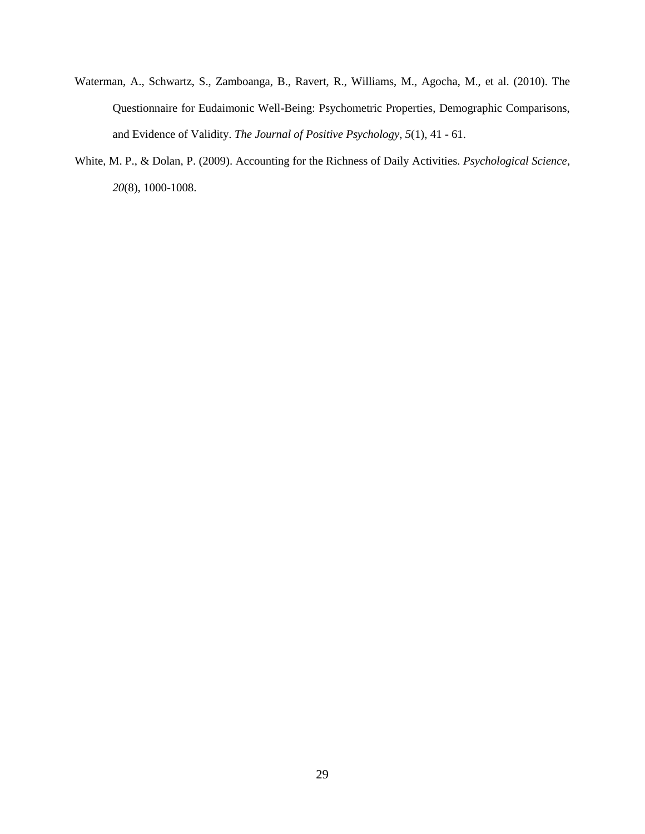- Waterman, A., Schwartz, S., Zamboanga, B., Ravert, R., Williams, M., Agocha, M., et al. (2010). The Questionnaire for Eudaimonic Well-Being: Psychometric Properties, Demographic Comparisons, and Evidence of Validity. *The Journal of Positive Psychology*, *5*(1), 41 - 61.
- White, M. P., & Dolan, P. (2009). Accounting for the Richness of Daily Activities. *Psychological Science*, *20*(8), 1000-1008.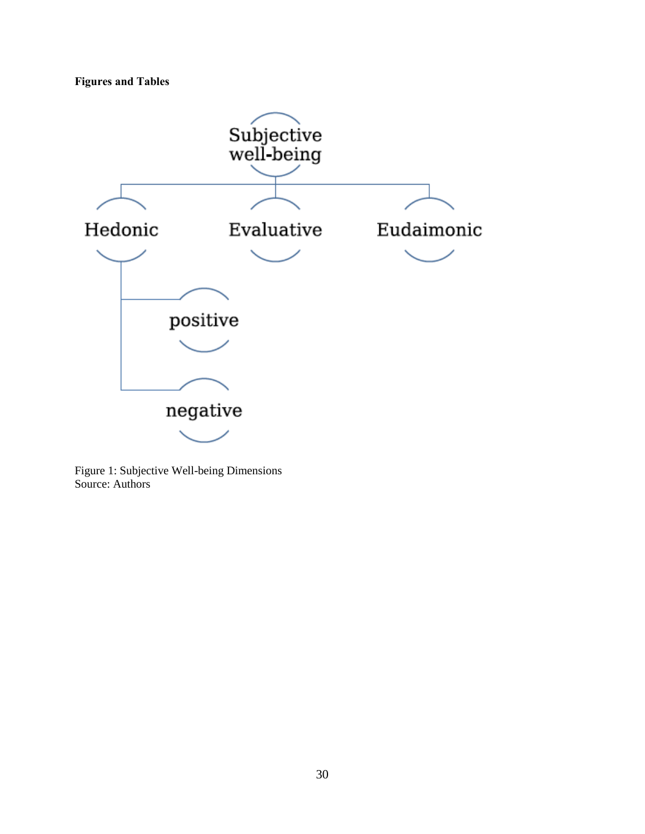#### **Figures and Tables**



Figure 1: Subjective Well-being Dimensions Source: Authors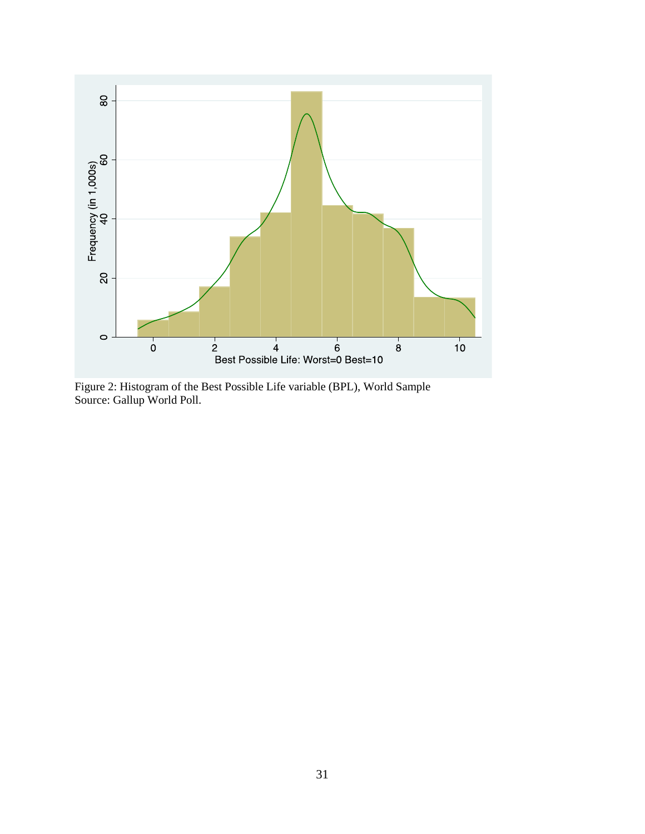

Figure 2: Histogram of the Best Possible Life variable (BPL), World Sample Source: Gallup World Poll.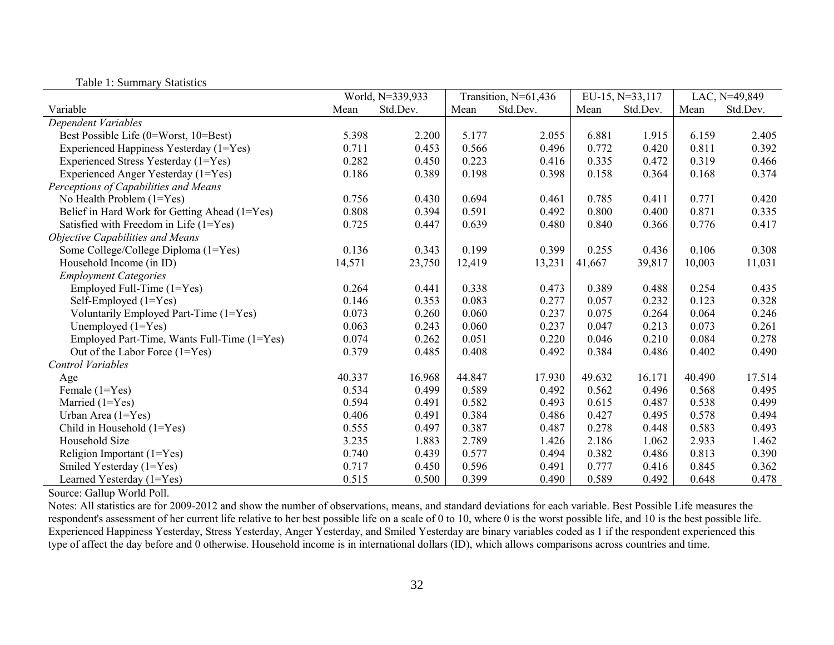Table 1: Summary Statistics

|                                               | World, N=339,933 |          | Transition, N=61,436 |          |        | EU-15, N=33,117 | LAC, N=49,849 |          |
|-----------------------------------------------|------------------|----------|----------------------|----------|--------|-----------------|---------------|----------|
| Variable                                      | Mean             | Std.Dev. | Mean                 | Std.Dev. | Mean   | Std.Dev.        | Mean          | Std.Dev. |
| Dependent Variables                           |                  |          |                      |          |        |                 |               |          |
| Best Possible Life (0=Worst, 10=Best)         | 5.398            | 2.200    | 5.177                | 2.055    | 6.881  | 1.915           | 6.159         | 2.405    |
| Experienced Happiness Yesterday (1=Yes)       | 0.711            | 0.453    | 0.566                | 0.496    | 0.772  | 0.420           | 0.811         | 0.392    |
| Experienced Stress Yesterday (1=Yes)          | 0.282            | 0.450    | 0.223                | 0.416    | 0.335  | 0.472           | 0.319         | 0.466    |
| Experienced Anger Yesterday (1=Yes)           | 0.186            | 0.389    | 0.198                | 0.398    | 0.158  | 0.364           | 0.168         | 0.374    |
| Perceptions of Capabilities and Means         |                  |          |                      |          |        |                 |               |          |
| No Health Problem $(1=Yes)$                   | 0.756            | 0.430    | 0.694                | 0.461    | 0.785  | 0.411           | 0.771         | 0.420    |
| Belief in Hard Work for Getting Ahead (1=Yes) | 0.808            | 0.394    | 0.591                | 0.492    | 0.800  | 0.400           | 0.871         | 0.335    |
| Satisfied with Freedom in Life (1=Yes)        | 0.725            | 0.447    | 0.639                | 0.480    | 0.840  | 0.366           | 0.776         | 0.417    |
| Objective Capabilities and Means              |                  |          |                      |          |        |                 |               |          |
| Some College/College Diploma (1=Yes)          | 0.136            | 0.343    | 0.199                | 0.399    | 0.255  | 0.436           | 0.106         | 0.308    |
| Household Income (in ID)                      | 14,571           | 23,750   | 12,419               | 13,231   | 41,667 | 39,817          | 10,003        | 11,031   |
| <b>Employment Categories</b>                  |                  |          |                      |          |        |                 |               |          |
| Employed Full-Time (1=Yes)                    | 0.264            | 0.441    | 0.338                | 0.473    | 0.389  | 0.488           | 0.254         | 0.435    |
| Self-Employed $(1=Yes)$                       | 0.146            | 0.353    | 0.083                | 0.277    | 0.057  | 0.232           | 0.123         | 0.328    |
| Voluntarily Employed Part-Time (1=Yes)        | 0.073            | 0.260    | 0.060                | 0.237    | 0.075  | 0.264           | 0.064         | 0.246    |
| Unemployed $(1=Yes)$                          | 0.063            | 0.243    | 0.060                | 0.237    | 0.047  | 0.213           | 0.073         | 0.261    |
| Employed Part-Time, Wants Full-Time (1=Yes)   | 0.074            | 0.262    | 0.051                | 0.220    | 0.046  | 0.210           | 0.084         | 0.278    |
| Out of the Labor Force $(1=Yes)$              | 0.379            | 0.485    | 0.408                | 0.492    | 0.384  | 0.486           | 0.402         | 0.490    |
| Control Variables                             |                  |          |                      |          |        |                 |               |          |
| Age                                           | 40.337           | 16.968   | 44.847               | 17.930   | 49.632 | 16.171          | 40.490        | 17.514   |
| Female $(1=Yes)$                              | 0.534            | 0.499    | 0.589                | 0.492    | 0.562  | 0.496           | 0.568         | 0.495    |
| Married $(1=Yes)$                             | 0.594            | 0.491    | 0.582                | 0.493    | 0.615  | 0.487           | 0.538         | 0.499    |
| Urban Area (1=Yes)                            | 0.406            | 0.491    | 0.384                | 0.486    | 0.427  | 0.495           | 0.578         | 0.494    |
| Child in Household (1=Yes)                    | 0.555            | 0.497    | 0.387                | 0.487    | 0.278  | 0.448           | 0.583         | 0.493    |
| Household Size                                | 3.235            | 1.883    | 2.789                | 1.426    | 2.186  | 1.062           | 2.933         | 1.462    |
| Religion Important (1=Yes)                    | 0.740            | 0.439    | 0.577                | 0.494    | 0.382  | 0.486           | 0.813         | 0.390    |
| Smiled Yesterday (1=Yes)                      | 0.717            | 0.450    | 0.596                | 0.491    | 0.777  | 0.416           | 0.845         | 0.362    |
| Learned Yesterday (1=Yes)                     | 0.515            | 0.500    | 0.399                | 0.490    | 0.589  | 0.492           | 0.648         | 0.478    |

Notes: All statistics are for 2009-2012 and show the number of observations, means, and standard deviations for each variable. Best Possible Life measures the respondent's assessment of her current life relative to her best possible life on a scale of 0 to 10, where 0 is the worst possible life, and 10 is the best possible life. Experienced Happiness Yesterday, Stress Yesterday, Anger Yesterday, and Smiled Yesterday are binary variables coded as 1 if the respondent experienced this type of affect the day before and 0 otherwise. Household income is in international dollars (ID), which allows comparisons across countries and time.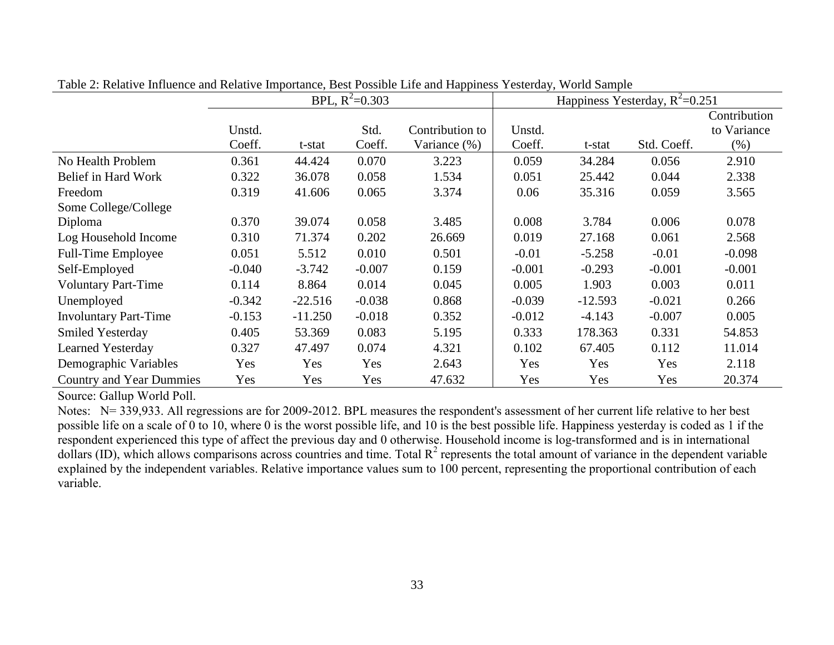|                                 | BPL, $R^2=0.303$ |           |          | Happiness Yesterday, $R^2=0.251$ |          |           |             |              |
|---------------------------------|------------------|-----------|----------|----------------------------------|----------|-----------|-------------|--------------|
|                                 |                  |           |          |                                  |          |           |             | Contribution |
|                                 | Unstd.           |           | Std.     | Contribution to                  | Unstd.   |           |             | to Variance  |
|                                 | Coeff.           | t-stat    | Coeff.   | Variance (%)                     | Coeff.   | t-stat    | Std. Coeff. | $(\%)$       |
| No Health Problem               | 0.361            | 44.424    | 0.070    | 3.223                            | 0.059    | 34.284    | 0.056       | 2.910        |
| Belief in Hard Work             | 0.322            | 36.078    | 0.058    | 1.534                            | 0.051    | 25.442    | 0.044       | 2.338        |
| Freedom                         | 0.319            | 41.606    | 0.065    | 3.374                            | 0.06     | 35.316    | 0.059       | 3.565        |
| Some College/College            |                  |           |          |                                  |          |           |             |              |
| Diploma                         | 0.370            | 39.074    | 0.058    | 3.485                            | 0.008    | 3.784     | 0.006       | 0.078        |
| Log Household Income            | 0.310            | 71.374    | 0.202    | 26.669                           | 0.019    | 27.168    | 0.061       | 2.568        |
| Full-Time Employee              | 0.051            | 5.512     | 0.010    | 0.501                            | $-0.01$  | $-5.258$  | $-0.01$     | $-0.098$     |
| Self-Employed                   | $-0.040$         | $-3.742$  | $-0.007$ | 0.159                            | $-0.001$ | $-0.293$  | $-0.001$    | $-0.001$     |
| <b>Voluntary Part-Time</b>      | 0.114            | 8.864     | 0.014    | 0.045                            | 0.005    | 1.903     | 0.003       | 0.011        |
| Unemployed                      | $-0.342$         | $-22.516$ | $-0.038$ | 0.868                            | $-0.039$ | $-12.593$ | $-0.021$    | 0.266        |
| <b>Involuntary Part-Time</b>    | $-0.153$         | $-11.250$ | $-0.018$ | 0.352                            | $-0.012$ | $-4.143$  | $-0.007$    | 0.005        |
| <b>Smiled Yesterday</b>         | 0.405            | 53.369    | 0.083    | 5.195                            | 0.333    | 178.363   | 0.331       | 54.853       |
| <b>Learned Yesterday</b>        | 0.327            | 47.497    | 0.074    | 4.321                            | 0.102    | 67.405    | 0.112       | 11.014       |
| Demographic Variables           | Yes              | Yes       | Yes      | 2.643                            | Yes      | Yes       | Yes         | 2.118        |
| <b>Country and Year Dummies</b> | Yes              | Yes       | Yes      | 47.632                           | Yes      | Yes       | Yes         | 20.374       |

Table 2: Relative Influence and Relative Importance, Best Possible Life and Happiness Yesterday, World Sample

Notes: N= 339,933. All regressions are for 2009-2012. BPL measures the respondent's assessment of her current life relative to her best possible life on a scale of 0 to 10, where 0 is the worst possible life, and 10 is the best possible life. Happiness yesterday is coded as 1 if the respondent experienced this type of affect the previous day and 0 otherwise. Household income is log-transformed and is in international dollars (ID), which allows comparisons across countries and time. Total  $R^2$  represents the total amount of variance in the dependent variable explained by the independent variables. Relative importance values sum to 100 percent, representing the proportional contribution of each variable.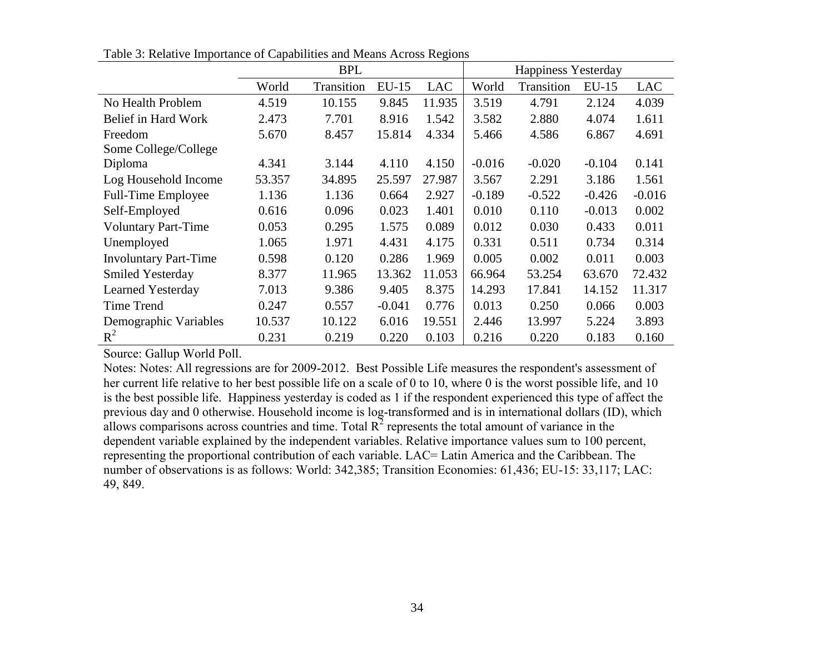|                              |        | <b>BPL</b> |          |        |          | <b>Happiness Yesterday</b> |          |          |
|------------------------------|--------|------------|----------|--------|----------|----------------------------|----------|----------|
|                              | World  | Transition | $EU-15$  | LAC    | World    | Transition                 | $EU-15$  | LAC      |
| No Health Problem            | 4.519  | 10.155     | 9.845    | 11.935 | 3.519    | 4.791                      | 2.124    | 4.039    |
| Belief in Hard Work          | 2.473  | 7.701      | 8.916    | 1.542  | 3.582    | 2.880                      | 4.074    | 1.611    |
| Freedom                      | 5.670  | 8.457      | 15.814   | 4.334  | 5.466    | 4.586                      | 6.867    | 4.691    |
| Some College/College         |        |            |          |        |          |                            |          |          |
| Diploma                      | 4.341  | 3.144      | 4.110    | 4.150  | $-0.016$ | $-0.020$                   | $-0.104$ | 0.141    |
| Log Household Income         | 53.357 | 34.895     | 25.597   | 27.987 | 3.567    | 2.291                      | 3.186    | 1.561    |
| <b>Full-Time Employee</b>    | 1.136  | 1.136      | 0.664    | 2.927  | $-0.189$ | $-0.522$                   | $-0.426$ | $-0.016$ |
| Self-Employed                | 0.616  | 0.096      | 0.023    | 1.401  | 0.010    | 0.110                      | $-0.013$ | 0.002    |
| <b>Voluntary Part-Time</b>   | 0.053  | 0.295      | 1.575    | 0.089  | 0.012    | 0.030                      | 0.433    | 0.011    |
| Unemployed                   | 1.065  | 1.971      | 4.431    | 4.175  | 0.331    | 0.511                      | 0.734    | 0.314    |
| <b>Involuntary Part-Time</b> | 0.598  | 0.120      | 0.286    | 1.969  | 0.005    | 0.002                      | 0.011    | 0.003    |
| <b>Smiled Yesterday</b>      | 8.377  | 11.965     | 13.362   | 11.053 | 66.964   | 53.254                     | 63.670   | 72.432   |
| <b>Learned Yesterday</b>     | 7.013  | 9.386      | 9.405    | 8.375  | 14.293   | 17.841                     | 14.152   | 11.317   |
| <b>Time Trend</b>            | 0.247  | 0.557      | $-0.041$ | 0.776  | 0.013    | 0.250                      | 0.066    | 0.003    |
| Demographic Variables        | 10.537 | 10.122     | 6.016    | 19.551 | 2.446    | 13.997                     | 5.224    | 3.893    |
| $R^2$                        | 0.231  | 0.219      | 0.220    | 0.103  | 0.216    | 0.220                      | 0.183    | 0.160    |

Table 3: Relative Importance of Capabilities and Means Across Regions

Notes: Notes: All regressions are for 2009-2012. Best Possible Life measures the respondent's assessment of her current life relative to her best possible life on a scale of 0 to 10, where 0 is the worst possible life, and 10 is the best possible life. Happiness yesterday is coded as 1 if the respondent experienced this type of affect the previous day and 0 otherwise. Household income is log-transformed and is in international dollars (ID), which allows comparisons across countries and time. Total  $R^2$  represents the total amount of variance in the dependent variable explained by the independent variables. Relative importance values sum to 100 percent, representing the proportional contribution of each variable. LAC= Latin America and the Caribbean. The number of observations is as follows: World: 342,385; Transition Economies: 61,436; EU-15: 33,117; LAC: 49, 849.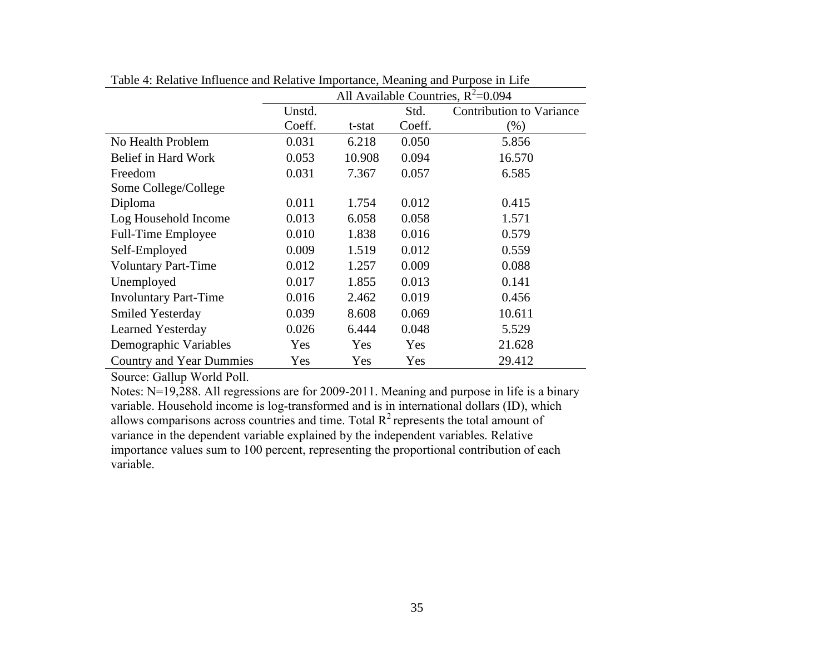|                                 | All Available Countries, $R^2$ =0.094 |        |        |                                 |  |  |  |
|---------------------------------|---------------------------------------|--------|--------|---------------------------------|--|--|--|
|                                 | Unstd.                                |        | Std.   | <b>Contribution to Variance</b> |  |  |  |
|                                 | Coeff.                                | t-stat | Coeff. | (% )                            |  |  |  |
| No Health Problem               | 0.031                                 | 6.218  | 0.050  | 5.856                           |  |  |  |
| Belief in Hard Work             | 0.053                                 | 10.908 | 0.094  | 16.570                          |  |  |  |
| Freedom                         | 0.031                                 | 7.367  | 0.057  | 6.585                           |  |  |  |
| Some College/College            |                                       |        |        |                                 |  |  |  |
| Diploma                         | 0.011                                 | 1.754  | 0.012  | 0.415                           |  |  |  |
| Log Household Income            | 0.013                                 | 6.058  | 0.058  | 1.571                           |  |  |  |
| <b>Full-Time Employee</b>       | 0.010                                 | 1.838  | 0.016  | 0.579                           |  |  |  |
| Self-Employed                   | 0.009                                 | 1.519  | 0.012  | 0.559                           |  |  |  |
| <b>Voluntary Part-Time</b>      | 0.012                                 | 1.257  | 0.009  | 0.088                           |  |  |  |
| Unemployed                      | 0.017                                 | 1.855  | 0.013  | 0.141                           |  |  |  |
| <b>Involuntary Part-Time</b>    | 0.016                                 | 2.462  | 0.019  | 0.456                           |  |  |  |
| <b>Smiled Yesterday</b>         | 0.039                                 | 8.608  | 0.069  | 10.611                          |  |  |  |
| <b>Learned Yesterday</b>        | 0.026                                 | 6.444  | 0.048  | 5.529                           |  |  |  |
| Demographic Variables           | Yes                                   | Yes    | Yes    | 21.628                          |  |  |  |
| <b>Country and Year Dummies</b> | Yes                                   | Yes    | Yes    | 29.412                          |  |  |  |

Table 4: Relative Influence and Relative Importance, Meaning and Purpose in Life

Notes: N=19,288. All regressions are for 2009-2011. Meaning and purpose in life is a binary variable. Household income is log-transformed and is in international dollars (ID), which allows comparisons across countries and time. Total  $R^2$  represents the total amount of variance in the dependent variable explained by the independent variables. Relative importance values sum to 100 percent, representing the proportional contribution of each variable.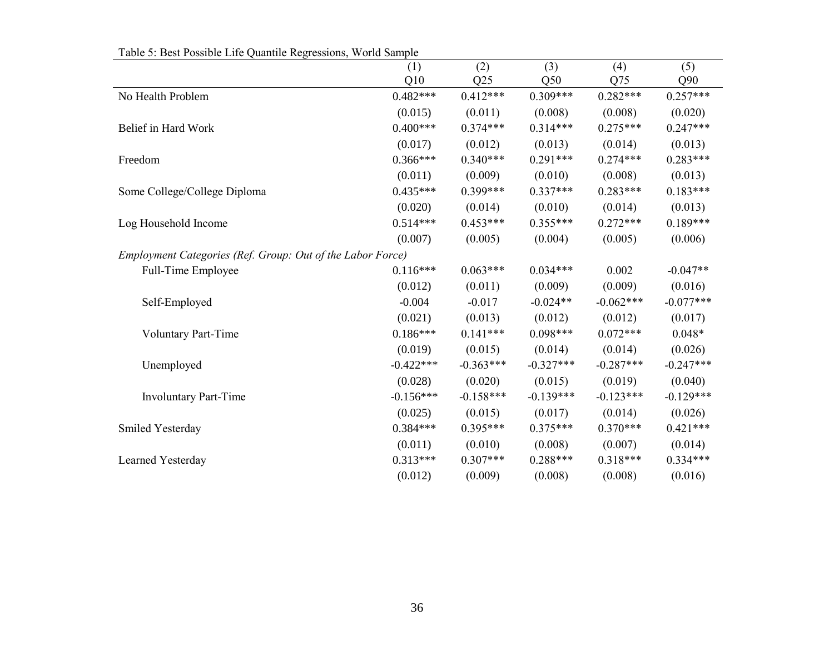|                                                            | (1)         | (2)         | (3)         | (4)         | (5)         |
|------------------------------------------------------------|-------------|-------------|-------------|-------------|-------------|
|                                                            | Q10         | Q25         | Q50         | Q75         | Q90         |
| No Health Problem                                          | $0.482***$  | $0.412***$  | $0.309***$  | $0.282***$  | $0.257***$  |
|                                                            | (0.015)     | (0.011)     | (0.008)     | (0.008)     | (0.020)     |
| Belief in Hard Work                                        | $0.400***$  | $0.374***$  | $0.314***$  | $0.275***$  | $0.247***$  |
|                                                            | (0.017)     | (0.012)     | (0.013)     | (0.014)     | (0.013)     |
| Freedom                                                    | $0.366***$  | $0.340***$  | $0.291***$  | $0.274***$  | $0.283***$  |
|                                                            | (0.011)     | (0.009)     | (0.010)     | (0.008)     | (0.013)     |
| Some College/College Diploma                               | $0.435***$  | 0.399***    | $0.337***$  | $0.283***$  | $0.183***$  |
|                                                            | (0.020)     | (0.014)     | (0.010)     | (0.014)     | (0.013)     |
| Log Household Income                                       | $0.514***$  | $0.453***$  | $0.355***$  | $0.272***$  | $0.189***$  |
|                                                            | (0.007)     | (0.005)     | (0.004)     | (0.005)     | (0.006)     |
| Employment Categories (Ref. Group: Out of the Labor Force) |             |             |             |             |             |
| Full-Time Employee                                         | $0.116***$  | $0.063***$  | $0.034***$  | 0.002       | $-0.047**$  |
|                                                            | (0.012)     | (0.011)     | (0.009)     | (0.009)     | (0.016)     |
| Self-Employed                                              | $-0.004$    | $-0.017$    | $-0.024**$  | $-0.062***$ | $-0.077***$ |
|                                                            | (0.021)     | (0.013)     | (0.012)     | (0.012)     | (0.017)     |
| Voluntary Part-Time                                        | $0.186***$  | $0.141***$  | $0.098***$  | $0.072***$  | $0.048*$    |
|                                                            | (0.019)     | (0.015)     | (0.014)     | (0.014)     | (0.026)     |
| Unemployed                                                 | $-0.422***$ | $-0.363***$ | $-0.327***$ | $-0.287***$ | $-0.247***$ |
|                                                            | (0.028)     | (0.020)     | (0.015)     | (0.019)     | (0.040)     |
| <b>Involuntary Part-Time</b>                               | $-0.156***$ | $-0.158***$ | $-0.139***$ | $-0.123***$ | $-0.129***$ |
|                                                            | (0.025)     | (0.015)     | (0.017)     | (0.014)     | (0.026)     |
| Smiled Yesterday                                           | $0.384***$  | $0.395***$  | $0.375***$  | $0.370***$  | $0.421***$  |
|                                                            | (0.011)     | (0.010)     | (0.008)     | (0.007)     | (0.014)     |
| Learned Yesterday                                          | $0.313***$  | $0.307***$  | $0.288***$  | $0.318***$  | $0.334***$  |
|                                                            | (0.012)     | (0.009)     | (0.008)     | (0.008)     | (0.016)     |

Table 5: Best Possible Life Quantile Regressions, World Sample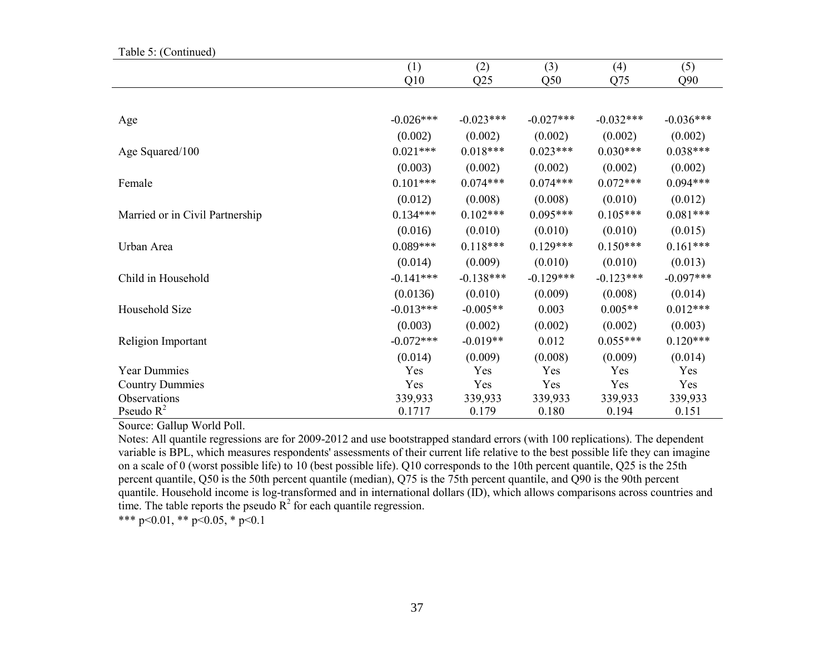| $10000$ . (Communica)           | (1)         | (2)         | (3)         | (4)         | (5)         |
|---------------------------------|-------------|-------------|-------------|-------------|-------------|
|                                 | Q10         | Q25         | Q50         | Q75         | Q90         |
|                                 |             |             |             |             |             |
|                                 |             |             |             |             |             |
| Age                             | $-0.026***$ | $-0.023***$ | $-0.027***$ | $-0.032***$ | $-0.036***$ |
|                                 | (0.002)     | (0.002)     | (0.002)     | (0.002)     | (0.002)     |
| Age Squared/100                 | $0.021***$  | $0.018***$  | $0.023***$  | $0.030***$  | $0.038***$  |
|                                 | (0.003)     | (0.002)     | (0.002)     | (0.002)     | (0.002)     |
| Female                          | $0.101***$  | $0.074***$  | $0.074***$  | $0.072***$  | $0.094***$  |
|                                 | (0.012)     | (0.008)     | (0.008)     | (0.010)     | (0.012)     |
| Married or in Civil Partnership | $0.134***$  | $0.102***$  | $0.095***$  | $0.105***$  | $0.081***$  |
|                                 | (0.016)     | (0.010)     | (0.010)     | (0.010)     | (0.015)     |
| Urban Area                      | $0.089***$  | $0.118***$  | $0.129***$  | $0.150***$  | $0.161***$  |
|                                 | (0.014)     | (0.009)     | (0.010)     | (0.010)     | (0.013)     |
| Child in Household              | $-0.141***$ | $-0.138***$ | $-0.129***$ | $-0.123***$ | $-0.097***$ |
|                                 | (0.0136)    | (0.010)     | (0.009)     | (0.008)     | (0.014)     |
| Household Size                  | $-0.013***$ | $-0.005**$  | 0.003       | $0.005**$   | $0.012***$  |
|                                 | (0.003)     | (0.002)     | (0.002)     | (0.002)     | (0.003)     |
| Religion Important              | $-0.072***$ | $-0.019**$  | 0.012       | $0.055***$  | $0.120***$  |
|                                 | (0.014)     | (0.009)     | (0.008)     | (0.009)     | (0.014)     |
| <b>Year Dummies</b>             | Yes         | Yes         | Yes         | Yes         | Yes         |
| <b>Country Dummies</b>          | Yes         | Yes         | Yes         | Yes         | Yes         |
| Observations                    | 339,933     | 339,933     | 339,933     | 339,933     | 339,933     |
| Pseudo $R^2$                    | 0.1717      | 0.179       | 0.180       | 0.194       | 0.151       |

Table 5: (Continued)

Source: Gallup World Poll.

Notes: All quantile regressions are for 2009-2012 and use bootstrapped standard errors (with 100 replications). The dependent variable is BPL, which measures respondents' assessments of their current life relative to the best possible life they can imagine on a scale of 0 (worst possible life) to 10 (best possible life). Q10 corresponds to the 10th percent quantile, Q25 is the 25th percent quantile, Q50 is the 50th percent quantile (median), Q75 is the 75th percent quantile, and Q90 is the 90th percent quantile. Household income is log-transformed and in international dollars (ID), which allows comparisons across countries and time. The table reports the pseudo  $R^2$  for each quantile regression.

\*\*\* p<0.01, \*\* p<0.05, \* p<0.1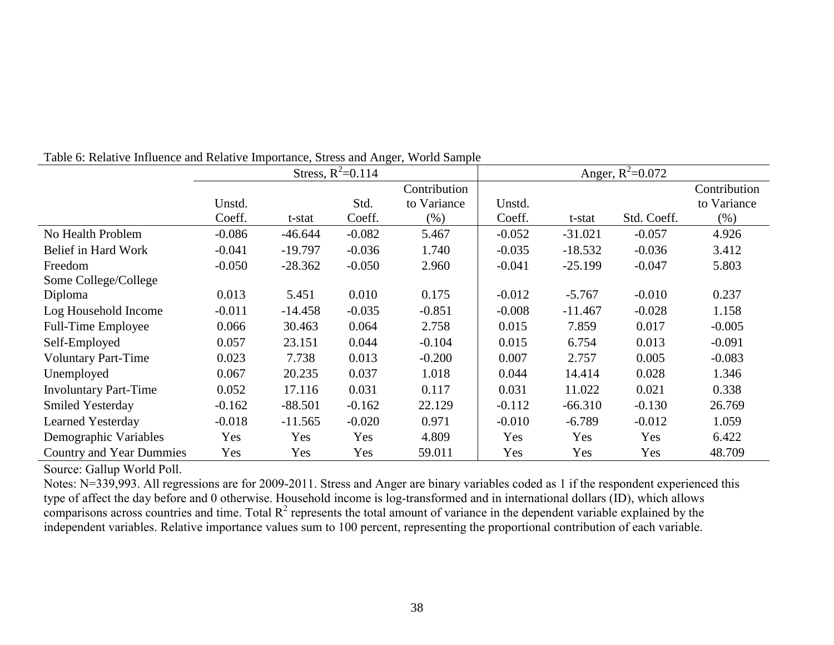|                                 | Stress, $R^2 = 0.114$ |           |          |              | Anger, $R^2 = 0.072$ |           |             |              |
|---------------------------------|-----------------------|-----------|----------|--------------|----------------------|-----------|-------------|--------------|
|                                 |                       |           |          | Contribution |                      |           |             | Contribution |
|                                 | Unstd.                |           | Std.     | to Variance  | Unstd.               |           |             | to Variance  |
|                                 | Coeff.                | t-stat    | Coeff.   | $(\% )$      | Coeff.               | t-stat    | Std. Coeff. | (%)          |
| No Health Problem               | $-0.086$              | $-46.644$ | $-0.082$ | 5.467        | $-0.052$             | $-31.021$ | $-0.057$    | 4.926        |
| Belief in Hard Work             | $-0.041$              | $-19.797$ | $-0.036$ | 1.740        | $-0.035$             | $-18.532$ | $-0.036$    | 3.412        |
| Freedom                         | $-0.050$              | $-28.362$ | $-0.050$ | 2.960        | $-0.041$             | $-25.199$ | $-0.047$    | 5.803        |
| Some College/College            |                       |           |          |              |                      |           |             |              |
| Diploma                         | 0.013                 | 5.451     | 0.010    | 0.175        | $-0.012$             | $-5.767$  | $-0.010$    | 0.237        |
| Log Household Income            | $-0.011$              | $-14.458$ | $-0.035$ | $-0.851$     | $-0.008$             | $-11.467$ | $-0.028$    | 1.158        |
| <b>Full-Time Employee</b>       | 0.066                 | 30.463    | 0.064    | 2.758        | 0.015                | 7.859     | 0.017       | $-0.005$     |
| Self-Employed                   | 0.057                 | 23.151    | 0.044    | $-0.104$     | 0.015                | 6.754     | 0.013       | $-0.091$     |
| <b>Voluntary Part-Time</b>      | 0.023                 | 7.738     | 0.013    | $-0.200$     | 0.007                | 2.757     | 0.005       | $-0.083$     |
| Unemployed                      | 0.067                 | 20.235    | 0.037    | 1.018        | 0.044                | 14.414    | 0.028       | 1.346        |
| <b>Involuntary Part-Time</b>    | 0.052                 | 17.116    | 0.031    | 0.117        | 0.031                | 11.022    | 0.021       | 0.338        |
| <b>Smiled Yesterday</b>         | $-0.162$              | $-88.501$ | $-0.162$ | 22.129       | $-0.112$             | $-66.310$ | $-0.130$    | 26.769       |
| <b>Learned Yesterday</b>        | $-0.018$              | $-11.565$ | $-0.020$ | 0.971        | $-0.010$             | $-6.789$  | $-0.012$    | 1.059        |
| Demographic Variables           | Yes                   | Yes       | Yes      | 4.809        | Yes                  | Yes       | Yes         | 6.422        |
| <b>Country and Year Dummies</b> | Yes                   | Yes       | Yes      | 59.011       | Yes                  | Yes       | Yes         | 48.709       |

| Table 6: Relative Influence and Relative Importance, Stress and Anger, World Sample |  |  |  |
|-------------------------------------------------------------------------------------|--|--|--|
|                                                                                     |  |  |  |

Notes: N=339,993. All regressions are for 2009-2011. Stress and Anger are binary variables coded as 1 if the respondent experienced this type of affect the day before and 0 otherwise. Household income is log-transformed and in international dollars (ID), which allows comparisons across countries and time. Total  $R^2$  represents the total amount of variance in the dependent variable explained by the independent variables. Relative importance values sum to 100 percent, representing the proportional contribution of each variable.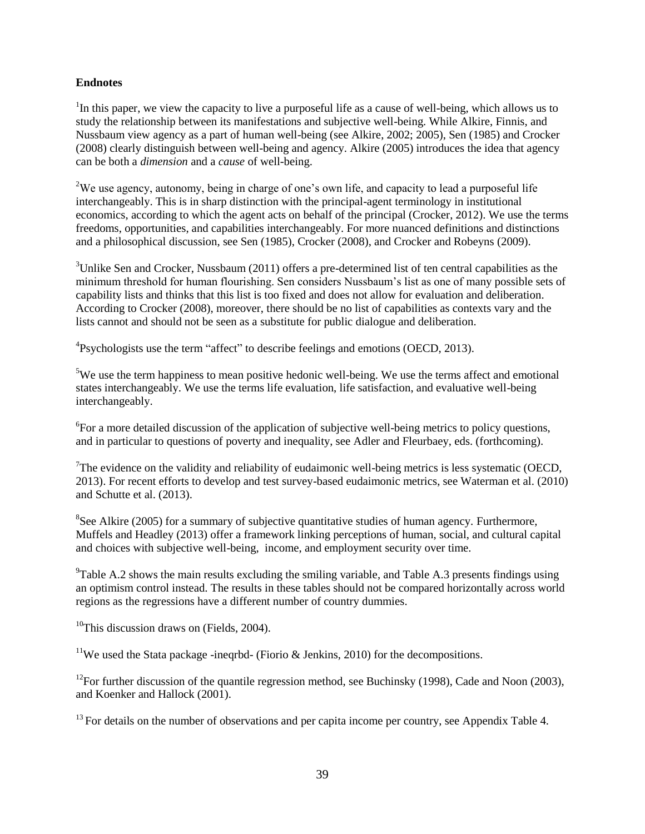#### **Endnotes**

<sup>1</sup>In this paper, we view the capacity to live a purposeful life as a cause of well-being, which allows us to study the relationship between its manifestations and subjective well-being. While Alkire, Finnis, and Nussbaum view agency as a part of human well-being (see Alkire, 2002; 2005), Sen (1985) and Crocker (2008) clearly distinguish between well-being and agency. Alkire (2005) introduces the idea that agency can be both a *dimension* and a *cause* of well-being.

<sup>2</sup>We use agency, autonomy, being in charge of one's own life, and capacity to lead a purposeful life interchangeably. This is in sharp distinction with the principal-agent terminology in institutional economics, according to which the agent acts on behalf of the principal (Crocker, 2012). We use the terms freedoms, opportunities, and capabilities interchangeably. For more nuanced definitions and distinctions and a philosophical discussion, see Sen (1985), Crocker (2008), and Crocker and Robeyns (2009).

<sup>3</sup>Unlike Sen and Crocker, Nussbaum (2011) offers a pre-determined list of ten central capabilities as the minimum threshold for human flourishing. Sen considers Nussbaum"s list as one of many possible sets of capability lists and thinks that this list is too fixed and does not allow for evaluation and deliberation. According to Crocker (2008), moreover, there should be no list of capabilities as contexts vary and the lists cannot and should not be seen as a substitute for public dialogue and deliberation.

<sup>4</sup>Psychologists use the term "affect" to describe feelings and emotions (OECD, 2013).

<sup>5</sup>We use the term happiness to mean positive hedonic well-being. We use the terms affect and emotional states interchangeably. We use the terms life evaluation, life satisfaction, and evaluative well-being interchangeably.

<sup>6</sup>For a more detailed discussion of the application of subjective well-being metrics to policy questions, and in particular to questions of poverty and inequality, see Adler and Fleurbaey, eds. (forthcoming).

 $T$ The evidence on the validity and reliability of eudaimonic well-being metrics is less systematic (OECD, 2013). For recent efforts to develop and test survey-based eudaimonic metrics, see Waterman et al. (2010) and Schutte et al. (2013).

 ${}^{8}$ See Alkire (2005) for a summary of subjective quantitative studies of human agency. Furthermore, Muffels and Headley (2013) offer a framework linking perceptions of human, social, and cultural capital and choices with subjective well-being, income, and employment security over time.

 $^{9}$ Table A.2 shows the main results excluding the smiling variable, and Table A.3 presents findings using an optimism control instead. The results in these tables should not be compared horizontally across world regions as the regressions have a different number of country dummies.

 $^{10}$ This discussion draws on (Fields, 2004).

<sup>11</sup>We used the Stata package -ineqrbd- (Fiorio & Jenkins, 2010) for the decompositions.

<sup>12</sup>For further discussion of the quantile regression method, see Buchinsky (1998), Cade and Noon (2003), and Koenker and Hallock (2001).

 $13$  For details on the number of observations and per capita income per country, see Appendix Table 4.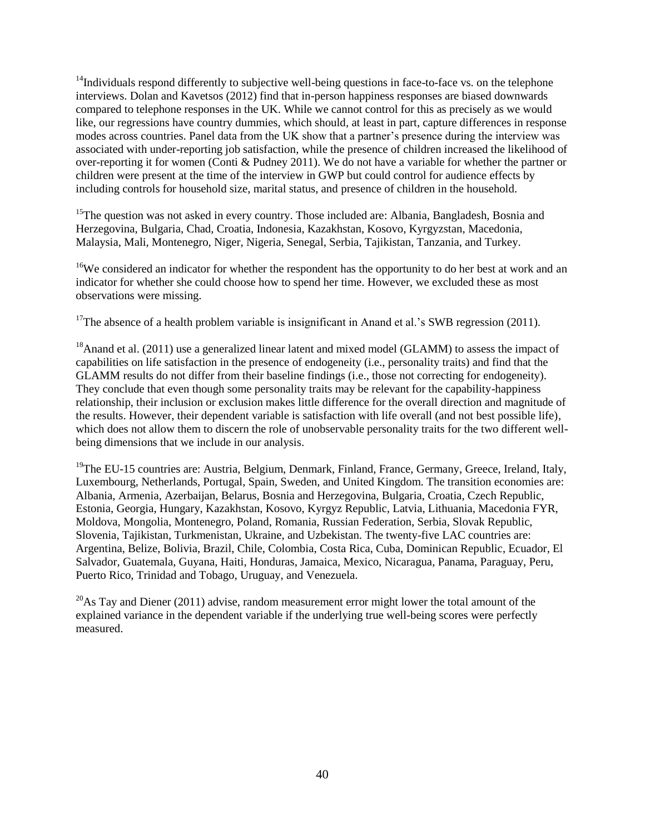$14$ Individuals respond differently to subjective well-being questions in face-to-face vs. on the telephone interviews. Dolan and Kavetsos (2012) find that in-person happiness responses are biased downwards compared to telephone responses in the UK. While we cannot control for this as precisely as we would like, our regressions have country dummies, which should, at least in part, capture differences in response modes across countries. Panel data from the UK show that a partner"s presence during the interview was associated with under-reporting job satisfaction, while the presence of children increased the likelihood of over-reporting it for women (Conti & Pudney 2011). We do not have a variable for whether the partner or children were present at the time of the interview in GWP but could control for audience effects by including controls for household size, marital status, and presence of children in the household.

<sup>15</sup>The question was not asked in every country. Those included are: Albania, Bangladesh, Bosnia and Herzegovina, Bulgaria, Chad, Croatia, Indonesia, Kazakhstan, Kosovo, Kyrgyzstan, Macedonia, Malaysia, Mali, Montenegro, Niger, Nigeria, Senegal, Serbia, Tajikistan, Tanzania, and Turkey.

<sup>16</sup>We considered an indicator for whether the respondent has the opportunity to do her best at work and an indicator for whether she could choose how to spend her time. However, we excluded these as most observations were missing.

<sup>17</sup>The absence of a health problem variable is insignificant in Anand et al.'s SWB regression (2011).

<sup>18</sup>Anand et al. (2011) use a generalized linear latent and mixed model (GLAMM) to assess the impact of capabilities on life satisfaction in the presence of endogeneity (i.e., personality traits) and find that the GLAMM results do not differ from their baseline findings (i.e., those not correcting for endogeneity). They conclude that even though some personality traits may be relevant for the capability-happiness relationship, their inclusion or exclusion makes little difference for the overall direction and magnitude of the results. However, their dependent variable is satisfaction with life overall (and not best possible life), which does not allow them to discern the role of unobservable personality traits for the two different wellbeing dimensions that we include in our analysis.

<sup>19</sup>The EU-15 countries are: Austria, Belgium, Denmark, Finland, France, Germany, Greece, Ireland, Italy, Luxembourg, Netherlands, Portugal, Spain, Sweden, and United Kingdom. The transition economies are: Albania, Armenia, Azerbaijan, Belarus, Bosnia and Herzegovina, Bulgaria, Croatia, Czech Republic, Estonia, Georgia, Hungary, Kazakhstan, Kosovo, Kyrgyz Republic, Latvia, Lithuania, Macedonia FYR, Moldova, Mongolia, Montenegro, Poland, Romania, Russian Federation, Serbia, Slovak Republic, Slovenia, Tajikistan, Turkmenistan, Ukraine, and Uzbekistan. The twenty-five LAC countries are: Argentina, Belize, Bolivia, Brazil, Chile, Colombia, Costa Rica, Cuba, Dominican Republic, Ecuador, El Salvador, Guatemala, Guyana, Haiti, Honduras, Jamaica, Mexico, Nicaragua, Panama, Paraguay, Peru, Puerto Rico, Trinidad and Tobago, Uruguay, and Venezuela.

 $^{20}$ As Tay and Diener (2011) advise, random measurement error might lower the total amount of the explained variance in the dependent variable if the underlying true well-being scores were perfectly measured.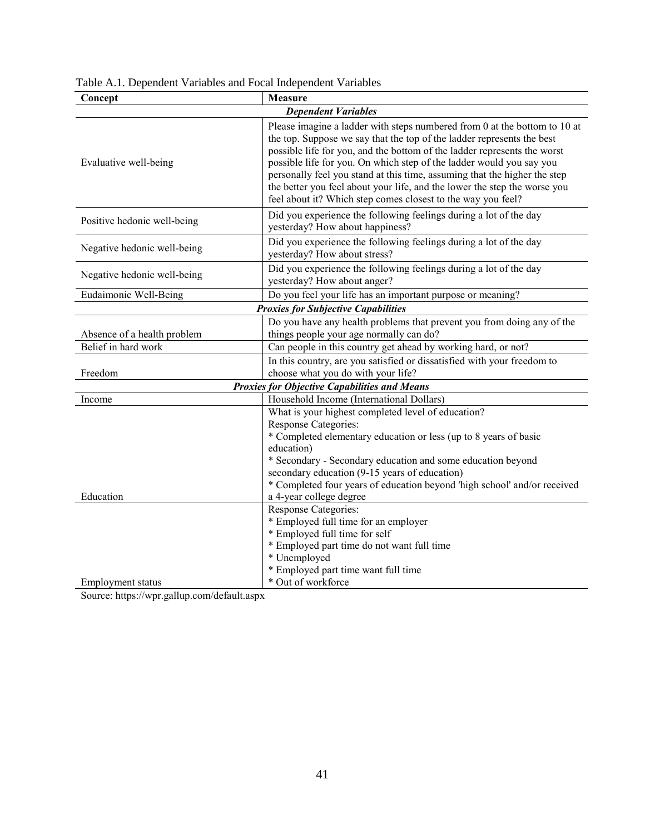| Concept                     | <b>Measure</b>                                                                                                                                                                                                                                                                                                                                                                                                                                                                                                                    |  |  |  |
|-----------------------------|-----------------------------------------------------------------------------------------------------------------------------------------------------------------------------------------------------------------------------------------------------------------------------------------------------------------------------------------------------------------------------------------------------------------------------------------------------------------------------------------------------------------------------------|--|--|--|
|                             | <b>Dependent Variables</b>                                                                                                                                                                                                                                                                                                                                                                                                                                                                                                        |  |  |  |
| Evaluative well-being       | Please imagine a ladder with steps numbered from 0 at the bottom to 10 at<br>the top. Suppose we say that the top of the ladder represents the best<br>possible life for you, and the bottom of the ladder represents the worst<br>possible life for you. On which step of the ladder would you say you<br>personally feel you stand at this time, assuming that the higher the step<br>the better you feel about your life, and the lower the step the worse you<br>feel about it? Which step comes closest to the way you feel? |  |  |  |
| Positive hedonic well-being | Did you experience the following feelings during a lot of the day<br>yesterday? How about happiness?                                                                                                                                                                                                                                                                                                                                                                                                                              |  |  |  |
| Negative hedonic well-being | Did you experience the following feelings during a lot of the day<br>yesterday? How about stress?                                                                                                                                                                                                                                                                                                                                                                                                                                 |  |  |  |
| Negative hedonic well-being | Did you experience the following feelings during a lot of the day<br>yesterday? How about anger?                                                                                                                                                                                                                                                                                                                                                                                                                                  |  |  |  |
| Eudaimonic Well-Being       | Do you feel your life has an important purpose or meaning?                                                                                                                                                                                                                                                                                                                                                                                                                                                                        |  |  |  |
|                             | <b>Proxies for Subjective Capabilities</b>                                                                                                                                                                                                                                                                                                                                                                                                                                                                                        |  |  |  |
| Absence of a health problem | Do you have any health problems that prevent you from doing any of the<br>things people your age normally can do?                                                                                                                                                                                                                                                                                                                                                                                                                 |  |  |  |
| Belief in hard work         | Can people in this country get ahead by working hard, or not?                                                                                                                                                                                                                                                                                                                                                                                                                                                                     |  |  |  |
| Freedom                     | In this country, are you satisfied or dissatisfied with your freedom to<br>choose what you do with your life?                                                                                                                                                                                                                                                                                                                                                                                                                     |  |  |  |
|                             | <b>Proxies for Objective Capabilities and Means</b>                                                                                                                                                                                                                                                                                                                                                                                                                                                                               |  |  |  |
| Income                      | Household Income (International Dollars)                                                                                                                                                                                                                                                                                                                                                                                                                                                                                          |  |  |  |
|                             | What is your highest completed level of education?<br><b>Response Categories:</b>                                                                                                                                                                                                                                                                                                                                                                                                                                                 |  |  |  |
|                             | * Completed elementary education or less (up to 8 years of basic<br>education)<br>* Secondary - Secondary education and some education beyond<br>secondary education (9-15 years of education)<br>* Completed four years of education beyond 'high school' and/or received                                                                                                                                                                                                                                                        |  |  |  |
| Education                   | a 4-year college degree                                                                                                                                                                                                                                                                                                                                                                                                                                                                                                           |  |  |  |
|                             | Response Categories:<br>* Employed full time for an employer<br>* Employed full time for self<br>* Employed part time do not want full time<br>* Unemployed<br>* Employed part time want full time                                                                                                                                                                                                                                                                                                                                |  |  |  |
| Employment status           | * Out of workforce                                                                                                                                                                                                                                                                                                                                                                                                                                                                                                                |  |  |  |

Table A.1. Dependent Variables and Focal Independent Variables

Source: https://wpr.gallup.com/default.aspx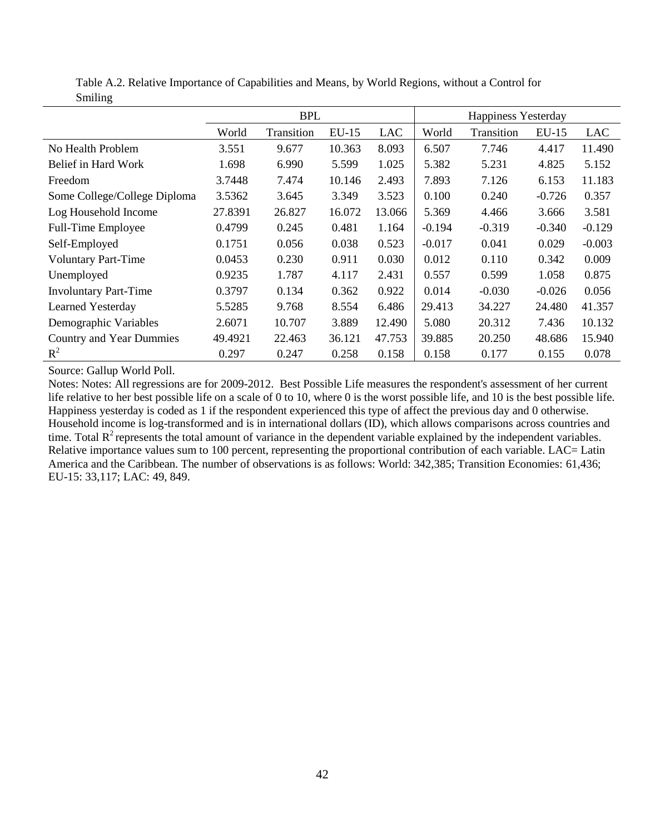|                              | <b>BPL</b> |            |         |            | <b>Happiness Yesterday</b> |            |          |            |
|------------------------------|------------|------------|---------|------------|----------------------------|------------|----------|------------|
|                              | World      | Transition | $EU-15$ | <b>LAC</b> | World                      | Transition | $EU-15$  | <b>LAC</b> |
| No Health Problem            | 3.551      | 9.677      | 10.363  | 8.093      | 6.507                      | 7.746      | 4.417    | 11.490     |
| Belief in Hard Work          | 1.698      | 6.990      | 5.599   | 1.025      | 5.382                      | 5.231      | 4.825    | 5.152      |
| Freedom                      | 3.7448     | 7.474      | 10.146  | 2.493      | 7.893                      | 7.126      | 6.153    | 11.183     |
| Some College/College Diploma | 3.5362     | 3.645      | 3.349   | 3.523      | 0.100                      | 0.240      | $-0.726$ | 0.357      |
| Log Household Income         | 27.8391    | 26.827     | 16.072  | 13.066     | 5.369                      | 4.466      | 3.666    | 3.581      |
| Full-Time Employee           | 0.4799     | 0.245      | 0.481   | 1.164      | $-0.194$                   | $-0.319$   | $-0.340$ | $-0.129$   |
| Self-Employed                | 0.1751     | 0.056      | 0.038   | 0.523      | $-0.017$                   | 0.041      | 0.029    | $-0.003$   |
| <b>Voluntary Part-Time</b>   | 0.0453     | 0.230      | 0.911   | 0.030      | 0.012                      | 0.110      | 0.342    | 0.009      |
| Unemployed                   | 0.9235     | 1.787      | 4.117   | 2.431      | 0.557                      | 0.599      | 1.058    | 0.875      |
| <b>Involuntary Part-Time</b> | 0.3797     | 0.134      | 0.362   | 0.922      | 0.014                      | $-0.030$   | $-0.026$ | 0.056      |
| <b>Learned Yesterday</b>     | 5.5285     | 9.768      | 8.554   | 6.486      | 29.413                     | 34.227     | 24.480   | 41.357     |
| Demographic Variables        | 2.6071     | 10.707     | 3.889   | 12.490     | 5.080                      | 20.312     | 7.436    | 10.132     |
| Country and Year Dummies     | 49.4921    | 22.463     | 36.121  | 47.753     | 39.885                     | 20.250     | 48.686   | 15.940     |
| $R^2$                        | 0.297      | 0.247      | 0.258   | 0.158      | 0.158                      | 0.177      | 0.155    | 0.078      |

Table A.2. Relative Importance of Capabilities and Means, by World Regions, without a Control for Smiling

Notes: Notes: All regressions are for 2009-2012. Best Possible Life measures the respondent's assessment of her current life relative to her best possible life on a scale of 0 to 10, where 0 is the worst possible life, and 10 is the best possible life. Happiness yesterday is coded as 1 if the respondent experienced this type of affect the previous day and 0 otherwise. Household income is log-transformed and is in international dollars (ID), which allows comparisons across countries and time. Total  $R^2$  represents the total amount of variance in the dependent variable explained by the independent variables. Relative importance values sum to 100 percent, representing the proportional contribution of each variable. LAC= Latin America and the Caribbean. The number of observations is as follows: World: 342,385; Transition Economies: 61,436; EU-15: 33,117; LAC: 49, 849.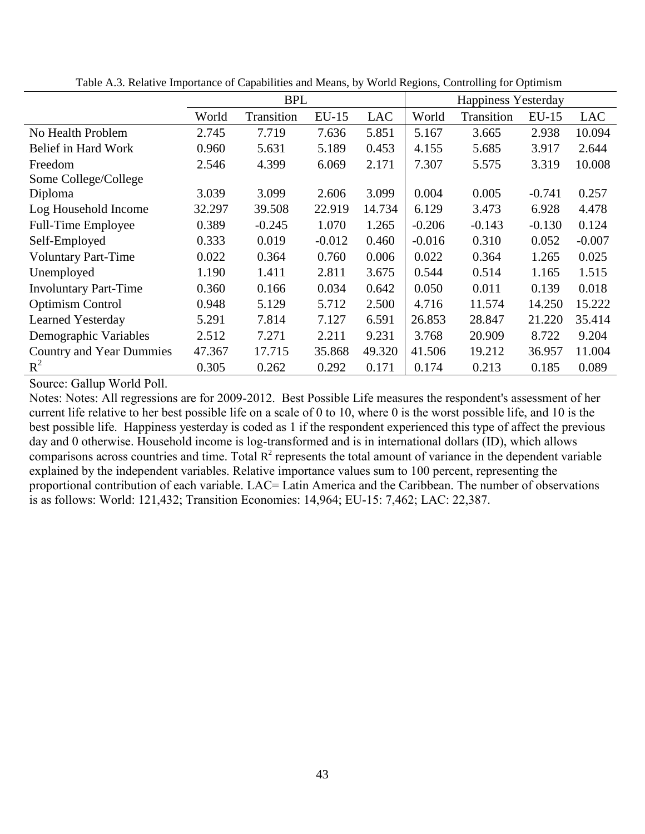|                                 | <b>BPL</b> |            |          |            | Happiness Yesterday |            |          |          |
|---------------------------------|------------|------------|----------|------------|---------------------|------------|----------|----------|
|                                 | World      | Transition | $EU-15$  | <b>LAC</b> | World               | Transition | $EU-15$  | LAC      |
| No Health Problem               | 2.745      | 7.719      | 7.636    | 5.851      | 5.167               | 3.665      | 2.938    | 10.094   |
| Belief in Hard Work             | 0.960      | 5.631      | 5.189    | 0.453      | 4.155               | 5.685      | 3.917    | 2.644    |
| Freedom                         | 2.546      | 4.399      | 6.069    | 2.171      | 7.307               | 5.575      | 3.319    | 10.008   |
| Some College/College            |            |            |          |            |                     |            |          |          |
| Diploma                         | 3.039      | 3.099      | 2.606    | 3.099      | 0.004               | 0.005      | $-0.741$ | 0.257    |
| Log Household Income            | 32.297     | 39.508     | 22.919   | 14.734     | 6.129               | 3.473      | 6.928    | 4.478    |
| Full-Time Employee              | 0.389      | $-0.245$   | 1.070    | 1.265      | $-0.206$            | $-0.143$   | $-0.130$ | 0.124    |
| Self-Employed                   | 0.333      | 0.019      | $-0.012$ | 0.460      | $-0.016$            | 0.310      | 0.052    | $-0.007$ |
| <b>Voluntary Part-Time</b>      | 0.022      | 0.364      | 0.760    | 0.006      | 0.022               | 0.364      | 1.265    | 0.025    |
| Unemployed                      | 1.190      | 1.411      | 2.811    | 3.675      | 0.544               | 0.514      | 1.165    | 1.515    |
| <b>Involuntary Part-Time</b>    | 0.360      | 0.166      | 0.034    | 0.642      | 0.050               | 0.011      | 0.139    | 0.018    |
| <b>Optimism Control</b>         | 0.948      | 5.129      | 5.712    | 2.500      | 4.716               | 11.574     | 14.250   | 15.222   |
| <b>Learned Yesterday</b>        | 5.291      | 7.814      | 7.127    | 6.591      | 26.853              | 28.847     | 21.220   | 35.414   |
| Demographic Variables           | 2.512      | 7.271      | 2.211    | 9.231      | 3.768               | 20.909     | 8.722    | 9.204    |
| <b>Country and Year Dummies</b> | 47.367     | 17.715     | 35.868   | 49.320     | 41.506              | 19.212     | 36.957   | 11.004   |
| $R^2$                           | 0.305      | 0.262      | 0.292    | 0.171      | 0.174               | 0.213      | 0.185    | 0.089    |

Table A.3. Relative Importance of Capabilities and Means, by World Regions, Controlling for Optimism

Notes: Notes: All regressions are for 2009-2012. Best Possible Life measures the respondent's assessment of her current life relative to her best possible life on a scale of 0 to 10, where 0 is the worst possible life, and 10 is the best possible life. Happiness yesterday is coded as 1 if the respondent experienced this type of affect the previous day and 0 otherwise. Household income is log-transformed and is in international dollars (ID), which allows comparisons across countries and time. Total  $R<sup>2</sup>$  represents the total amount of variance in the dependent variable explained by the independent variables. Relative importance values sum to 100 percent, representing the proportional contribution of each variable. LAC= Latin America and the Caribbean. The number of observations is as follows: World: 121,432; Transition Economies: 14,964; EU-15: 7,462; LAC: 22,387.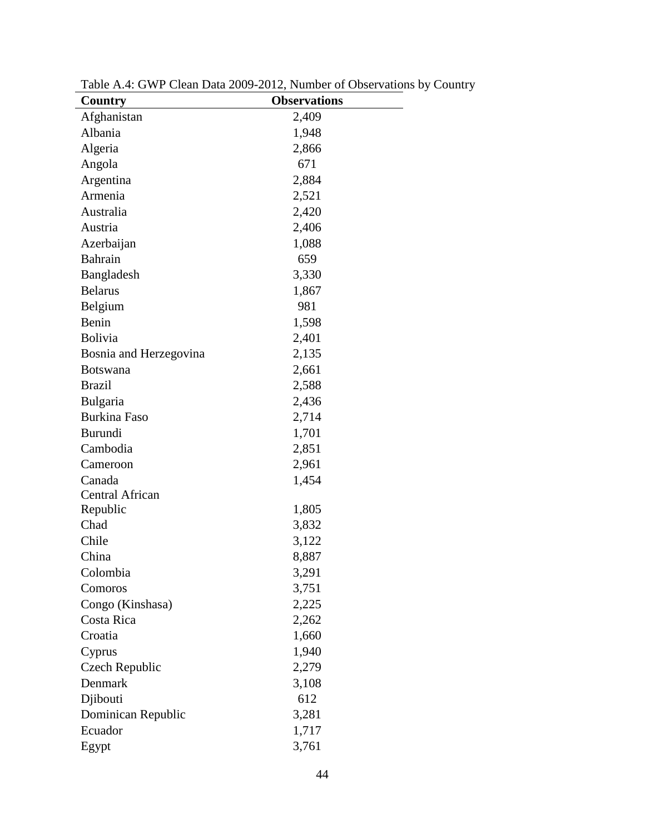| Country                | <b>Observations</b> |
|------------------------|---------------------|
| Afghanistan            | 2,409               |
| Albania                | 1,948               |
| Algeria                | 2,866               |
| Angola                 | 671                 |
| Argentina              | 2,884               |
| Armenia                | 2,521               |
| Australia              | 2,420               |
| Austria                | 2,406               |
| Azerbaijan             | 1,088               |
| <b>Bahrain</b>         | 659                 |
| Bangladesh             | 3,330               |
| <b>Belarus</b>         | 1,867               |
| Belgium                | 981                 |
| Benin                  | 1,598               |
| Bolivia                | 2,401               |
| Bosnia and Herzegovina | 2,135               |
| <b>Botswana</b>        | 2,661               |
| <b>Brazil</b>          | 2,588               |
| <b>Bulgaria</b>        | 2,436               |
| <b>Burkina Faso</b>    | 2,714               |
| Burundi                | 1,701               |
| Cambodia               | 2,851               |
| Cameroon               | 2,961               |
| Canada                 | 1,454               |
| Central African        |                     |
| Republic               | 1,805               |
| Chad                   | 3,832               |
| Chile                  | 3,122               |
| China                  | 8,887               |
| Colombia               | 3,291               |
| Comoros                | 3,751               |
| Congo (Kinshasa)       | 2,225               |
| Costa Rica             | 2,262               |
| Croatia                | 1,660               |
| Cyprus                 | 1,940               |
| <b>Czech Republic</b>  | 2,279               |
| Denmark                | 3,108               |
| Djibouti               | 612                 |
| Dominican Republic     | 3,281               |
| Ecuador                | 1,717               |
| Egypt                  | 3,761               |

Table A.4: GWP Clean Data 2009-2012, Number of Observations by Country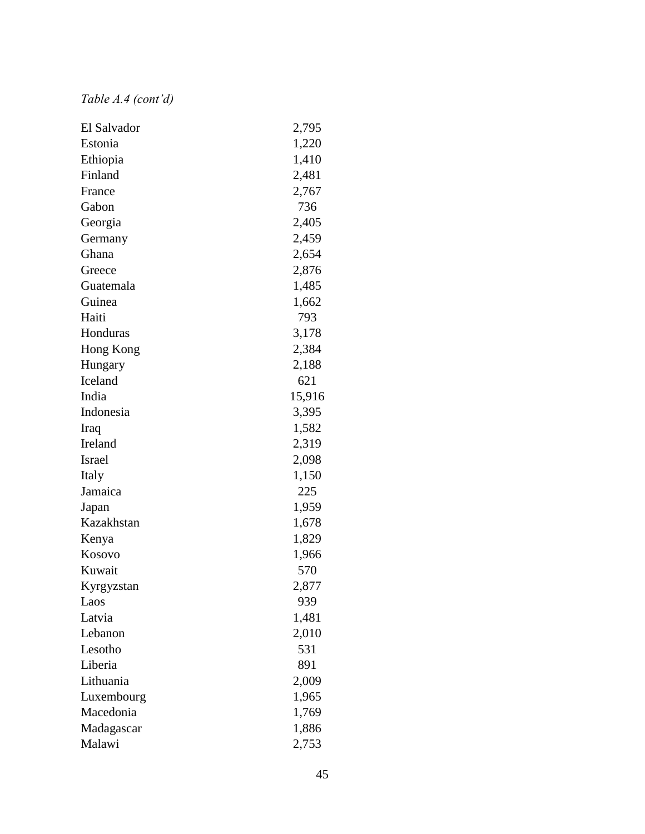## *Table A.4 (cont'd)*

| El Salvador   | 2,795  |
|---------------|--------|
| Estonia       | 1,220  |
| Ethiopia      | 1,410  |
| Finland       | 2,481  |
| France        | 2,767  |
| Gabon         | 736    |
| Georgia       | 2,405  |
| Germany       | 2,459  |
| Ghana         | 2,654  |
| Greece        | 2,876  |
| Guatemala     | 1,485  |
| Guinea        | 1,662  |
| Haiti         | 793    |
| Honduras      | 3,178  |
| Hong Kong     | 2,384  |
| Hungary       | 2,188  |
| Iceland       | 621    |
| India         | 15,916 |
| Indonesia     | 3,395  |
| Iraq          | 1,582  |
| Ireland       | 2,319  |
| <b>Israel</b> | 2,098  |
| Italy         | 1,150  |
| Jamaica       | 225    |
| Japan         | 1,959  |
| Kazakhstan    | 1,678  |
| Kenya         | 1,829  |
| Kosovo        | 1,966  |
| Kuwait        | 570    |
| Kyrgyzstan    | 2,877  |
| Laos          | 939    |
| Latvia        | 1,481  |
| Lebanon       | 2,010  |
| Lesotho       | 531    |
| Liberia       | 891    |
| Lithuania     | 2,009  |
| Luxembourg    | 1,965  |
| Macedonia     | 1,769  |
| Madagascar    | 1,886  |
| Malawi        | 2,753  |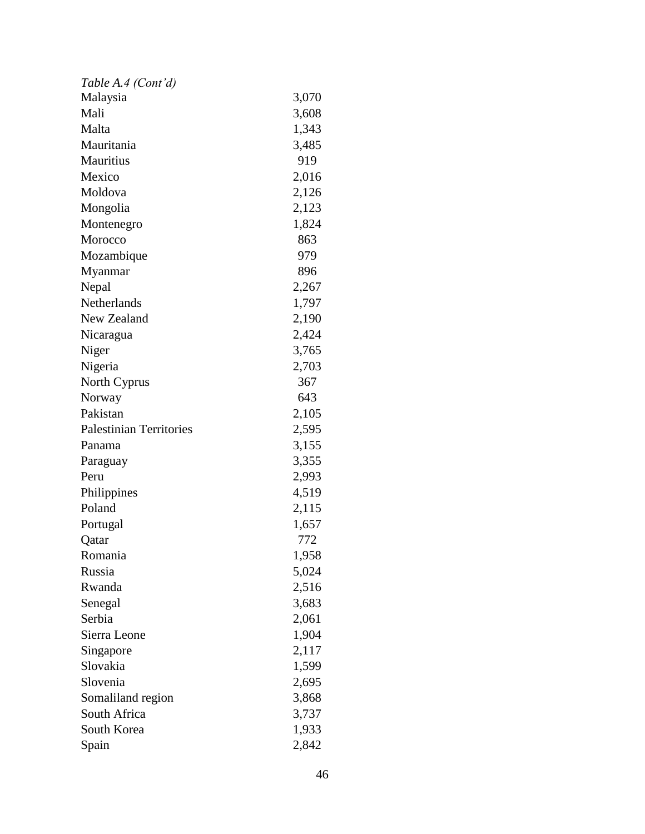| Table A.4 (Cont'd)             |       |
|--------------------------------|-------|
| Malaysia                       | 3,070 |
| Mali                           | 3,608 |
| Malta                          | 1,343 |
| Mauritania                     | 3,485 |
| Mauritius                      | 919   |
| Mexico                         | 2,016 |
| Moldova                        | 2,126 |
| Mongolia                       | 2,123 |
| Montenegro                     | 1,824 |
| Morocco                        | 863   |
| Mozambique                     | 979   |
| Myanmar                        | 896   |
| Nepal                          | 2,267 |
| Netherlands                    | 1,797 |
| New Zealand                    | 2,190 |
| Nicaragua                      | 2,424 |
| Niger                          | 3,765 |
| Nigeria                        | 2,703 |
| North Cyprus                   | 367   |
| Norway                         | 643   |
| Pakistan                       | 2,105 |
| <b>Palestinian Territories</b> | 2,595 |
| Panama                         | 3,155 |
| Paraguay                       | 3,355 |
| Peru                           | 2,993 |
| Philippines                    | 4,519 |
| Poland                         | 2,115 |
| Portugal                       | 1,657 |
| Qatar                          | 772   |
| Romania                        | 1,958 |
| Russia                         | 5,024 |
| Rwanda                         | 2,516 |
| Senegal                        | 3,683 |
| Serbia                         | 2,061 |
| Sierra Leone                   | 1,904 |
| Singapore                      | 2,117 |
| Slovakia                       | 1,599 |
| Slovenia                       | 2,695 |
| Somaliland region              | 3,868 |
| South Africa                   | 3,737 |
| South Korea                    | 1,933 |
| Spain                          | 2,842 |